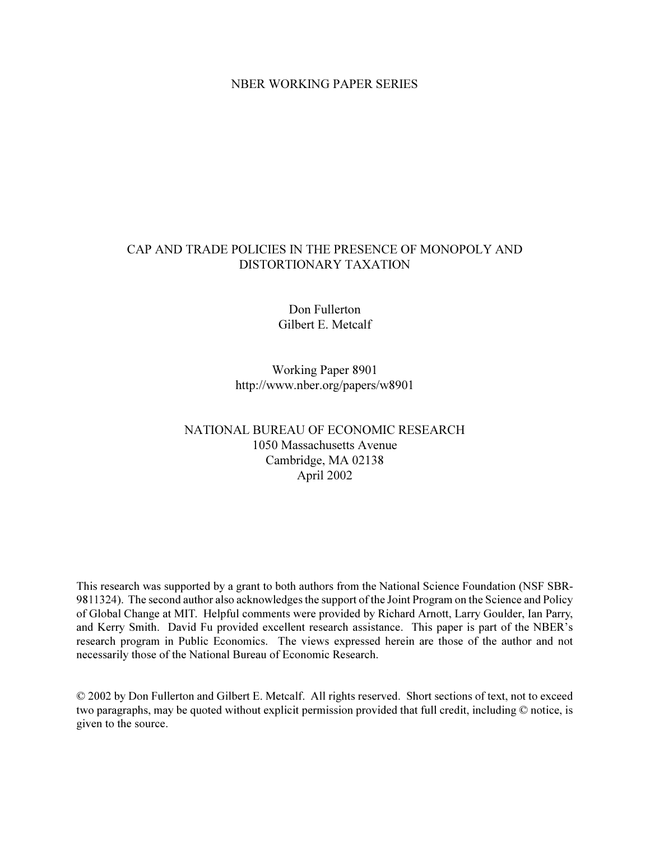## NBER WORKING PAPER SERIES

# CAP AND TRADE POLICIES IN THE PRESENCE OF MONOPOLY AND DISTORTIONARY TAXATION

Don Fullerton Gilbert E. Metcalf

Working Paper 8901 http://www.nber.org/papers/w8901

# NATIONAL BUREAU OF ECONOMIC RESEARCH 1050 Massachusetts Avenue Cambridge, MA 02138 April 2002

This research was supported by a grant to both authors from the National Science Foundation (NSF SBR-9811324). The second author also acknowledges the support of the Joint Program on the Science and Policy of Global Change at MIT. Helpful comments were provided by Richard Arnott, Larry Goulder, Ian Parry, and Kerry Smith. David Fu provided excellent research assistance. This paper is part of the NBER's research program in Public Economics. The views expressed herein are those of the author and not necessarily those of the National Bureau of Economic Research.

© 2002 by Don Fullerton and Gilbert E. Metcalf. All rights reserved. Short sections of text, not to exceed two paragraphs, may be quoted without explicit permission provided that full credit, including © notice, is given to the source.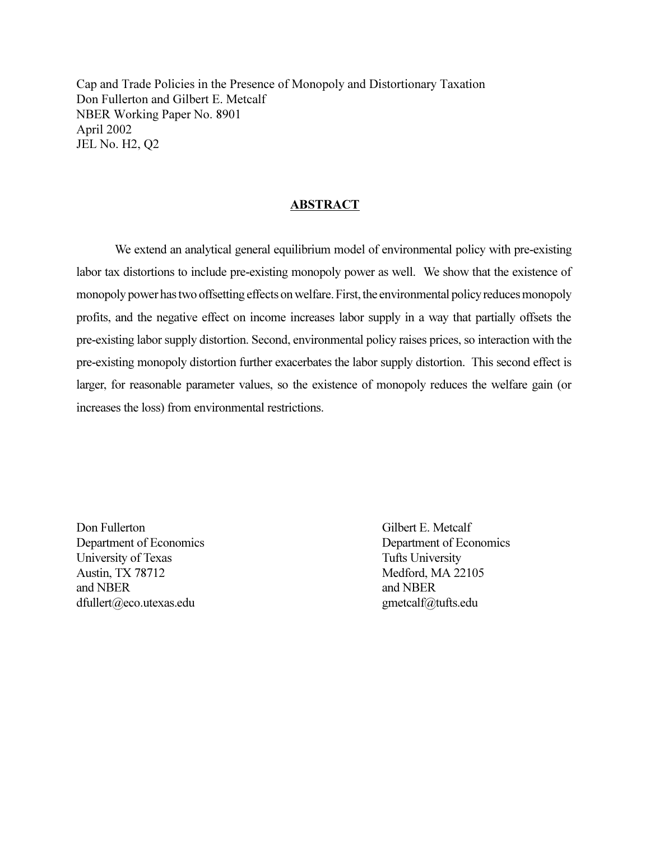Cap and Trade Policies in the Presence of Monopoly and Distortionary Taxation Don Fullerton and Gilbert E. Metcalf NBER Working Paper No. 8901 April 2002 JEL No. H2, Q2

## ABSTRACT

We extend an analytical general equilibrium model of environmental policy with pre-existing labor tax distortions to include pre-existing monopoly power as well. We show that the existence of monopoly power has two offsetting effects on welfare. First, the environmental policy reduces monopoly profits, and the negative effect on income increases labor supply in a way that partially offsets the pre-existing labor supply distortion. Second, environmental policy raises prices, so interaction with the pre-existing monopoly distortion further exacerbates the labor supply distortion. This second effect is larger, for reasonable parameter values, so the existence of monopoly reduces the welfare gain (or increases the loss) from environmental restrictions.

Don Fullerton Gilbert E. Metcalf Department of Economics Department of Economics University of Texas Tufts University Austin, TX 78712 Medford, MA 22105 and NBER and NBER dfullert@eco.utexas.edu gmetcalf@tufts.edu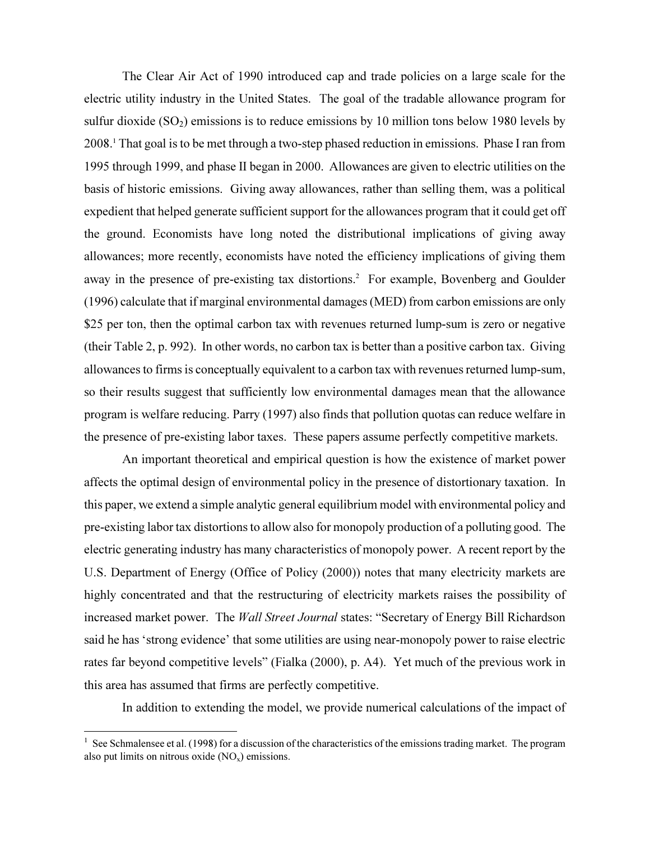The Clear Air Act of 1990 introduced cap and trade policies on a large scale for the electric utility industry in the United States. The goal of the tradable allowance program for sulfur dioxide  $(SO_2)$  emissions is to reduce emissions by 10 million tons below 1980 levels by 2008.<sup>1</sup> That goal is to be met through a two-step phased reduction in emissions. Phase I ran from 1995 through 1999, and phase II began in 2000. Allowances are given to electric utilities on the basis of historic emissions. Giving away allowances, rather than selling them, was a political expedient that helped generate sufficient support for the allowances program that it could get off the ground. Economists have long noted the distributional implications of giving away allowances; more recently, economists have noted the efficiency implications of giving them away in the presence of pre-existing tax distortions.<sup>2</sup> For example, Bovenberg and Goulder (1996) calculate that if marginal environmental damages (MED) from carbon emissions are only \$25 per ton, then the optimal carbon tax with revenues returned lump-sum is zero or negative (their Table 2, p. 992). In other words, no carbon tax is better than a positive carbon tax. Giving allowances to firms is conceptually equivalent to a carbon tax with revenues returned lump-sum, so their results suggest that sufficiently low environmental damages mean that the allowance program is welfare reducing. Parry (1997) also finds that pollution quotas can reduce welfare in the presence of pre-existing labor taxes. These papers assume perfectly competitive markets.

An important theoretical and empirical question is how the existence of market power affects the optimal design of environmental policy in the presence of distortionary taxation. In this paper, we extend a simple analytic general equilibrium model with environmental policy and pre-existing labor tax distortions to allow also for monopoly production of a polluting good. The electric generating industry has many characteristics of monopoly power. A recent report by the U.S. Department of Energy (Office of Policy (2000)) notes that many electricity markets are highly concentrated and that the restructuring of electricity markets raises the possibility of increased market power. The *Wall Street Journal* states: "Secretary of Energy Bill Richardson said he has 'strong evidence' that some utilities are using near-monopoly power to raise electric rates far beyond competitive levels" (Fialka (2000), p. A4). Yet much of the previous work in this area has assumed that firms are perfectly competitive.

In addition to extending the model, we provide numerical calculations of the impact of

<sup>&</sup>lt;sup>1</sup> See Schmalensee et al. (1998) for a discussion of the characteristics of the emissions trading market. The program also put limits on nitrous oxide  $(NO_x)$  emissions.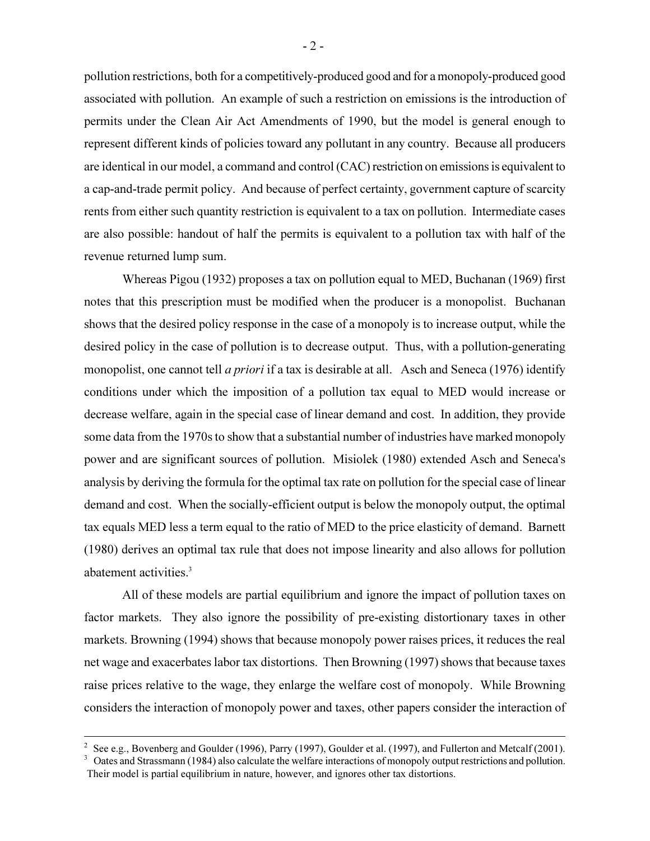pollution restrictions, both for a competitively-produced good and for a monopoly-produced good associated with pollution. An example of such a restriction on emissions is the introduction of permits under the Clean Air Act Amendments of 1990, but the model is general enough to represent different kinds of policies toward any pollutant in any country. Because all producers are identical in our model, a command and control (CAC) restriction on emissions is equivalent to a cap-and-trade permit policy. And because of perfect certainty, government capture of scarcity rents from either such quantity restriction is equivalent to a tax on pollution. Intermediate cases are also possible: handout of half the permits is equivalent to a pollution tax with half of the revenue returned lump sum.

Whereas Pigou (1932) proposes a tax on pollution equal to MED, Buchanan (1969) first notes that this prescription must be modified when the producer is a monopolist. Buchanan shows that the desired policy response in the case of a monopoly is to increase output, while the desired policy in the case of pollution is to decrease output. Thus, with a pollution-generating monopolist, one cannot tell *a priori* if a tax is desirable at all. Asch and Seneca (1976) identify conditions under which the imposition of a pollution tax equal to MED would increase or decrease welfare, again in the special case of linear demand and cost. In addition, they provide some data from the 1970s to show that a substantial number of industries have marked monopoly power and are significant sources of pollution. Misiolek (1980) extended Asch and Seneca's analysis by deriving the formula for the optimal tax rate on pollution for the special case of linear demand and cost. When the socially-efficient output is below the monopoly output, the optimal tax equals MED less a term equal to the ratio of MED to the price elasticity of demand. Barnett (1980) derives an optimal tax rule that does not impose linearity and also allows for pollution abatement activities.<sup>3</sup>

All of these models are partial equilibrium and ignore the impact of pollution taxes on factor markets. They also ignore the possibility of pre-existing distortionary taxes in other markets. Browning (1994) shows that because monopoly power raises prices, it reduces the real net wage and exacerbates labor tax distortions. Then Browning (1997) shows that because taxes raise prices relative to the wage, they enlarge the welfare cost of monopoly. While Browning considers the interaction of monopoly power and taxes, other papers consider the interaction of

<sup>&</sup>lt;sup>2</sup> See e.g., Bovenberg and Goulder (1996), Parry (1997), Goulder et al. (1997), and Fullerton and Metcalf (2001). <sup>3</sup> Oates and Strassmann (1984) also calculate the welfare interactions of monopoly output restrictions and pollution.

Their model is partial equilibrium in nature, however, and ignores other tax distortions.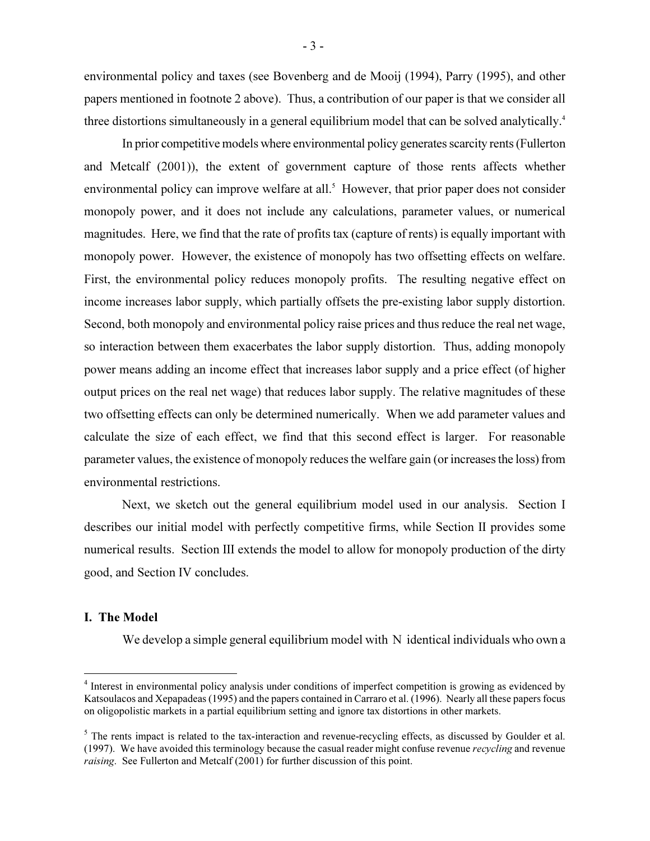environmental policy and taxes (see Bovenberg and de Mooij (1994), Parry (1995), and other papers mentioned in footnote 2 above). Thus, a contribution of our paper is that we consider all three distortions simultaneously in a general equilibrium model that can be solved analytically.<sup>4</sup>

In prior competitive models where environmental policy generates scarcity rents (Fullerton and Metcalf (2001)), the extent of government capture of those rents affects whether environmental policy can improve welfare at all.<sup>5</sup> However, that prior paper does not consider monopoly power, and it does not include any calculations, parameter values, or numerical magnitudes. Here, we find that the rate of profits tax (capture of rents) is equally important with monopoly power. However, the existence of monopoly has two offsetting effects on welfare. First, the environmental policy reduces monopoly profits. The resulting negative effect on income increases labor supply, which partially offsets the pre-existing labor supply distortion. Second, both monopoly and environmental policy raise prices and thus reduce the real net wage, so interaction between them exacerbates the labor supply distortion. Thus, adding monopoly power means adding an income effect that increases labor supply and a price effect (of higher output prices on the real net wage) that reduces labor supply. The relative magnitudes of these two offsetting effects can only be determined numerically. When we add parameter values and calculate the size of each effect, we find that this second effect is larger. For reasonable parameter values, the existence of monopoly reduces the welfare gain (or increases the loss) from environmental restrictions.

Next, we sketch out the general equilibrium model used in our analysis. Section I describes our initial model with perfectly competitive firms, while Section II provides some numerical results. Section III extends the model to allow for monopoly production of the dirty good, and Section IV concludes.

## I. The Model

 $\overline{a}$ 

We develop a simple general equilibrium model with N identical individuals who own a

<sup>&</sup>lt;sup>4</sup> Interest in environmental policy analysis under conditions of imperfect competition is growing as evidenced by Katsoulacos and Xepapadeas (1995) and the papers contained in Carraro et al. (1996). Nearly all these papers focus on oligopolistic markets in a partial equilibrium setting and ignore tax distortions in other markets.

<sup>&</sup>lt;sup>5</sup> The rents impact is related to the tax-interaction and revenue-recycling effects, as discussed by Goulder et al. (1997). We have avoided this terminology because the casual reader might confuse revenue recycling and revenue raising. See Fullerton and Metcalf (2001) for further discussion of this point.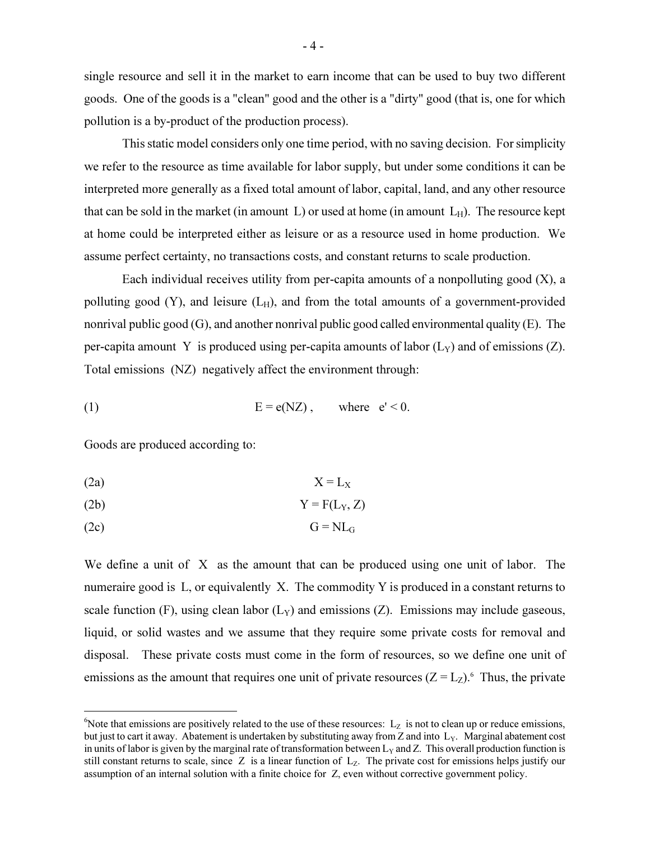single resource and sell it in the market to earn income that can be used to buy two different goods. One of the goods is a "clean" good and the other is a "dirty" good (that is, one for which pollution is a by-product of the production process).

This static model considers only one time period, with no saving decision. For simplicity we refer to the resource as time available for labor supply, but under some conditions it can be interpreted more generally as a fixed total amount of labor, capital, land, and any other resource that can be sold in the market (in amount L) or used at home (in amount  $L_H$ ). The resource kept at home could be interpreted either as leisure or as a resource used in home production. We assume perfect certainty, no transactions costs, and constant returns to scale production.

Each individual receives utility from per-capita amounts of a nonpolluting good  $(X)$ , a polluting good  $(Y)$ , and leisure  $(L_H)$ , and from the total amounts of a government-provided nonrival public good (G), and another nonrival public good called environmental quality (E). The per-capita amount Y is produced using per-capita amounts of labor  $(L_Y)$  and of emissions (Z). Total emissions (NZ) negatively affect the environment through:

$$
(1) \tE = e(NZ), \twhere e' < 0.
$$

Goods are produced according to:

 $\overline{a}$ 

$$
X = L_X
$$

$$
Y = F(L_Y, Z)
$$

$$
(2c) \t\t\t G = NL_G
$$

We define a unit of X as the amount that can be produced using one unit of labor. The numeraire good is L, or equivalently X. The commodity Y is produced in a constant returns to scale function (F), using clean labor  $(L_Y)$  and emissions (Z). Emissions may include gaseous, liquid, or solid wastes and we assume that they require some private costs for removal and disposal. These private costs must come in the form of resources, so we define one unit of emissions as the amount that requires one unit of private resources  $(Z = L_Z)$ .<sup>6</sup> Thus, the private

<sup>&</sup>lt;sup>6</sup>Note that emissions are positively related to the use of these resources:  $L_z$  is not to clean up or reduce emissions, but just to cart it away. Abatement is undertaken by substituting away from Z and into  $L<sub>Y</sub>$ . Marginal abatement cost in units of labor is given by the marginal rate of transformation between  $L_y$  and Z. This overall production function is still constant returns to scale, since  $Z$  is a linear function of  $L_z$ . The private cost for emissions helps justify our assumption of an internal solution with a finite choice for Z, even without corrective government policy.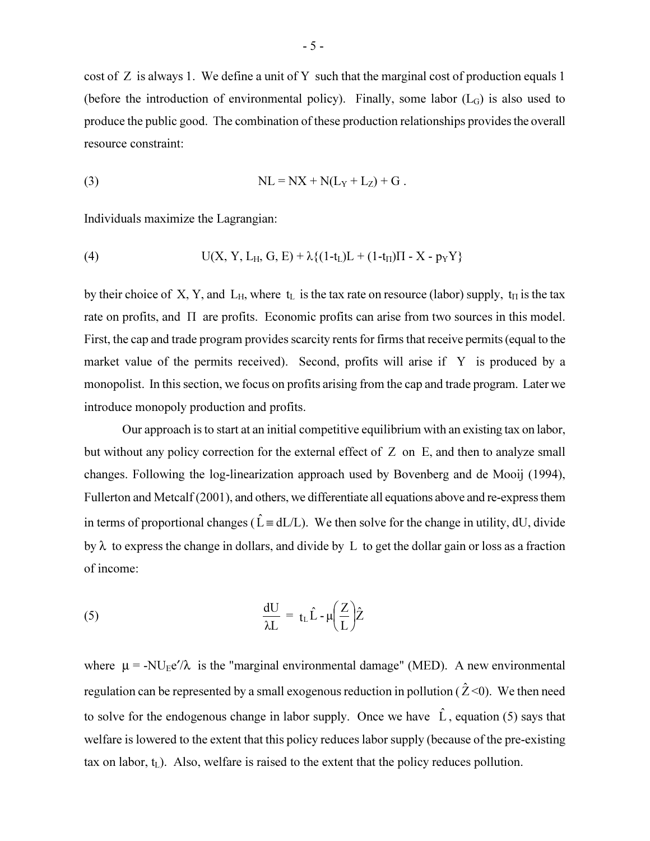cost of  $Z$  is always 1. We define a unit of Y such that the marginal cost of production equals 1 (before the introduction of environmental policy). Finally, some labor  $(L_G)$  is also used to produce the public good. The combination of these production relationships provides the overall resource constraint:

(3) 
$$
NL = NX + N(L_Y + L_Z) + G
$$
.

Individuals maximize the Lagrangian:

(4) 
$$
U(X, Y, L_H, G, E) + \lambda \{(1-t_L)L + (1-t_{\Pi})\Pi - X - p_YY\}
$$

by their choice of X, Y, and L<sub>H</sub>, where  $t_L$  is the tax rate on resource (labor) supply,  $t_H$  is the tax rate on profits, and Π are profits. Economic profits can arise from two sources in this model. First, the cap and trade program provides scarcity rents for firms that receive permits (equal to the market value of the permits received). Second, profits will arise if Y is produced by a monopolist. In this section, we focus on profits arising from the cap and trade program. Later we introduce monopoly production and profits.

Our approach is to start at an initial competitive equilibrium with an existing tax on labor, but without any policy correction for the external effect of Z on E, and then to analyze small changes. Following the log-linearization approach used by Bovenberg and de Mooij (1994), Fullerton and Metcalf (2001), and others, we differentiate all equations above and re-express them in terms of proportional changes ( $\hat{L} = dL/L$ ). We then solve for the change in utility, dU, divide by  $\lambda$  to express the change in dollars, and divide by L to get the dollar gain or loss as a fraction of income:

(5) 
$$
\frac{dU}{\lambda L} = t_L \hat{L} - \mu \left(\frac{Z}{L}\right) \hat{Z}
$$

where  $\mu = -NU_E e^2/\lambda$  is the "marginal environmental damage" (MED). A new environmental regulation can be represented by a small exogenous reduction in pollution ( $\hat{Z}$  <0). We then need to solve for the endogenous change in labor supply. Once we have  $\hat{L}$ , equation (5) says that welfare is lowered to the extent that this policy reduces labor supply (because of the pre-existing tax on labor,  $t_L$ ). Also, welfare is raised to the extent that the policy reduces pollution.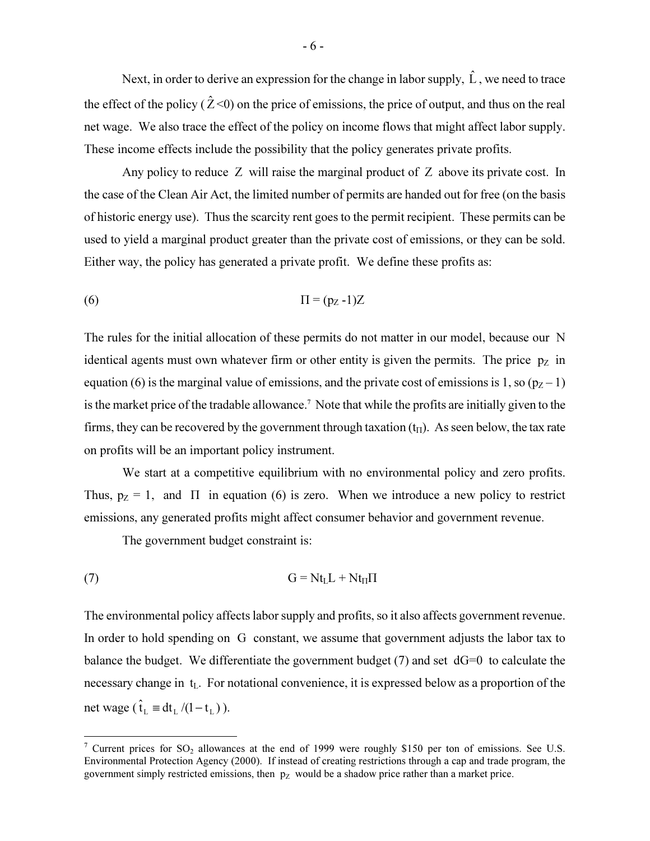Next, in order to derive an expression for the change in labor supply,  $\hat{L}$ , we need to trace the effect of the policy ( $\hat{Z}$  <0) on the price of emissions, the price of output, and thus on the real net wage. We also trace the effect of the policy on income flows that might affect labor supply. These income effects include the possibility that the policy generates private profits.

Any policy to reduce Z will raise the marginal product of Z above its private cost. In the case of the Clean Air Act, the limited number of permits are handed out for free (on the basis of historic energy use). Thus the scarcity rent goes to the permit recipient. These permits can be used to yield a marginal product greater than the private cost of emissions, or they can be sold. Either way, the policy has generated a private profit. We define these profits as:

$$
(6) \t \Pi = (p_Z - 1)Z
$$

The rules for the initial allocation of these permits do not matter in our model, because our N identical agents must own whatever firm or other entity is given the permits. The price  $p_Z$  in equation (6) is the marginal value of emissions, and the private cost of emissions is 1, so  $(p_Z - 1)$ is the market price of the tradable allowance.<sup>7</sup> Note that while the profits are initially given to the firms, they can be recovered by the government through taxation  $(t<sub>II</sub>)$ . As seen below, the tax rate on profits will be an important policy instrument.

We start at a competitive equilibrium with no environmental policy and zero profits. Thus,  $p_Z = 1$ , and  $\Pi$  in equation (6) is zero. When we introduce a new policy to restrict emissions, any generated profits might affect consumer behavior and government revenue.

The government budget constraint is:

$$
(7) \tG = Nt_L L + Nt_H \Pi
$$

The environmental policy affects labor supply and profits, so it also affects government revenue. In order to hold spending on G constant, we assume that government adjusts the labor tax to balance the budget. We differentiate the government budget  $(7)$  and set  $dG=0$  to calculate the necessary change in t<sub>L</sub>. For notational convenience, it is expressed below as a proportion of the net wage  $(\hat{t}_L \equiv dt_L / (1 - t_L))$ .

<sup>&</sup>lt;sup>7</sup> Current prices for  $SO_2$  allowances at the end of 1999 were roughly \$150 per ton of emissions. See U.S. Environmental Protection Agency (2000). If instead of creating restrictions through a cap and trade program, the government simply restricted emissions, then  $p<sub>Z</sub>$  would be a shadow price rather than a market price.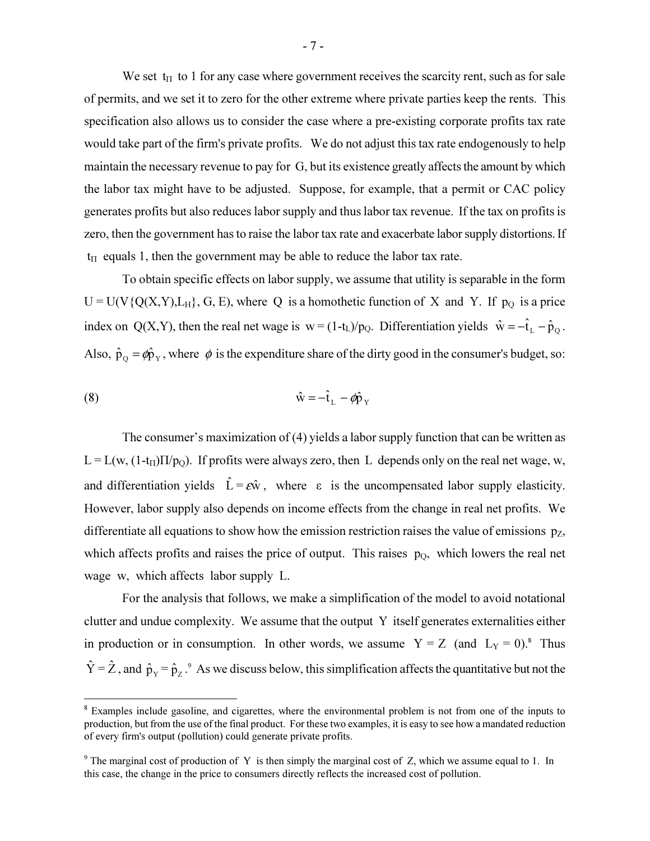We set  $t_{\text{II}}$  to 1 for any case where government receives the scarcity rent, such as for sale of permits, and we set it to zero for the other extreme where private parties keep the rents. This specification also allows us to consider the case where a pre-existing corporate profits tax rate would take part of the firm's private profits. We do not adjust this tax rate endogenously to help maintain the necessary revenue to pay for G, but its existence greatly affects the amount by which the labor tax might have to be adjusted. Suppose, for example, that a permit or CAC policy generates profits but also reduces labor supply and thus labor tax revenue. If the tax on profits is zero, then the government has to raise the labor tax rate and exacerbate labor supply distortions. If  $t_{\text{II}}$  equals 1, then the government may be able to reduce the labor tax rate.

To obtain specific effects on labor supply, we assume that utility is separable in the form  $U = U(V\{Q(X,Y),L_H\}, G, E)$ , where Q is a homothetic function of X and Y. If  $p_Q$  is a price index on Q(X,Y), then the real net wage is w =  $(1-t_L)/p_Q$ . Differentiation yields  $\hat{w} = -\hat{t}_L - \hat{p}_Q$ . Also,  $\hat{p}_Q = \phi \hat{p}_Y$ , where  $\phi$  is the expenditure share of the dirty good in the consumer's budget, so:

$$
\hat{\mathbf{w}} = -\hat{\mathbf{t}}_{\mathbf{L}} - \phi \hat{\mathbf{p}}_{\mathbf{Y}}
$$

 $\overline{a}$ 

The consumer's maximization of (4) yields a labor supply function that can be written as  $L = L(w, (1-t<sub>II</sub>)\Pi/p<sub>O</sub>)$ . If profits were always zero, then L depends only on the real net wage, w, and differentiation yields  $\hat{L} = \varepsilon \hat{w}$ , where  $\varepsilon$  is the uncompensated labor supply elasticity. However, labor supply also depends on income effects from the change in real net profits. We differentiate all equations to show how the emission restriction raises the value of emissions  $p_Z$ , which affects profits and raises the price of output. This raises  $p<sub>Q</sub>$ , which lowers the real net wage w, which affects labor supply L.

For the analysis that follows, we make a simplification of the model to avoid notational clutter and undue complexity. We assume that the output Y itself generates externalities either in production or in consumption. In other words, we assume  $Y = Z$  (and  $L_Y = 0$ ).<sup>8</sup> Thus  $\hat{Y} = \hat{Z}$ , and  $\hat{p}_y = \hat{p}_z$ . As we discuss below, this simplification affects the quantitative but not the

<sup>&</sup>lt;sup>8</sup> Examples include gasoline, and cigarettes, where the environmental problem is not from one of the inputs to production, but from the use of the final product. For these two examples, it is easy to see how a mandated reduction of every firm's output (pollution) could generate private profits.

<sup>&</sup>lt;sup>9</sup> The marginal cost of production of Y is then simply the marginal cost of Z, which we assume equal to 1. In this case, the change in the price to consumers directly reflects the increased cost of pollution.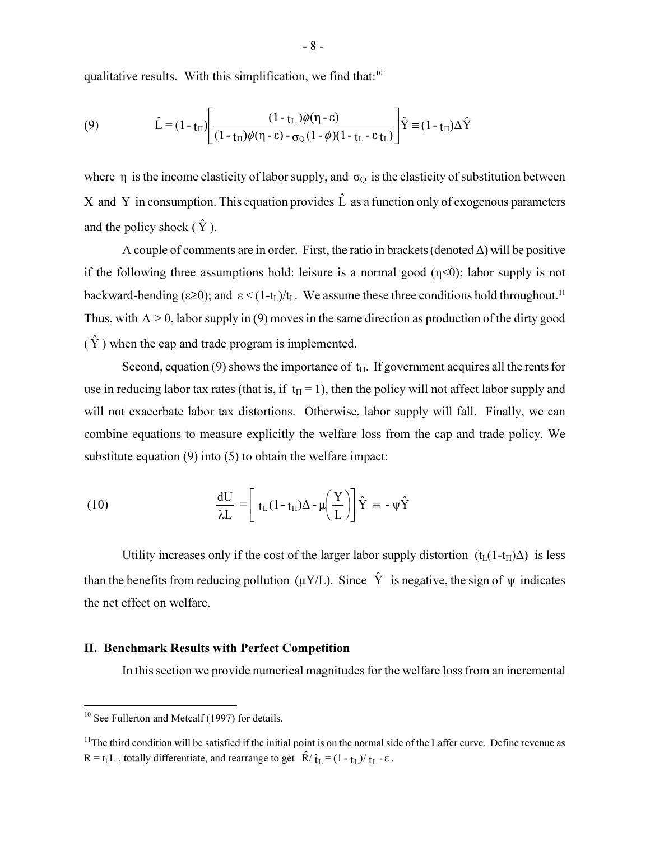qualitative results. With this simplification, we find that: $10$ 

(9) 
$$
\hat{L} = (1 - t_{\Pi}) \left[ \frac{(1 - t_{\Pi}) \phi(\eta - \epsilon)}{(1 - t_{\Pi}) \phi(\eta - \epsilon) - \sigma_{Q} (1 - \phi)(1 - t_{\Pi} - \epsilon t_{\Pi})} \right] \hat{Y} = (1 - t_{\Pi}) \Delta \hat{Y}
$$

where  $\eta$  is the income elasticity of labor supply, and  $\sigma_Q$  is the elasticity of substitution between X and Y in consumption. This equation provides  $\hat{L}$  as a function only of exogenous parameters and the policy shock  $(\hat{Y})$ .

A couple of comments are in order. First, the ratio in brackets (denoted  $\Delta$ ) will be positive if the following three assumptions hold: leisure is a normal good  $(\eta<0)$ ; labor supply is not backward-bending ( $\varepsilon \ge 0$ ); and  $\varepsilon < (1-t_L)/t_L$ . We assume these three conditions hold throughout.<sup>11</sup> Thus, with  $\Delta > 0$ , labor supply in (9) moves in the same direction as production of the dirty good  $(\hat{Y})$  when the cap and trade program is implemented.

Second, equation (9) shows the importance of  $t<sub>II</sub>$ . If government acquires all the rents for use in reducing labor tax rates (that is, if  $t_{\Pi} = 1$ ), then the policy will not affect labor supply and will not exacerbate labor tax distortions. Otherwise, labor supply will fall. Finally, we can combine equations to measure explicitly the welfare loss from the cap and trade policy. We substitute equation (9) into (5) to obtain the welfare impact:

(10) 
$$
\frac{dU}{\lambda L} = \left[ t_L (1 - t_\Pi) \Delta - \mu \left( \frac{Y}{L} \right) \right] \hat{Y} = -\psi \hat{Y}
$$

Utility increases only if the cost of the larger labor supply distortion  $(t_L(1-t_H)\Delta)$  is less than the benefits from reducing pollution ( $\mu$ Y/L). Since  $\hat{Y}$  is negative, the sign of  $\psi$  indicates the net effect on welfare.

#### II. Benchmark Results with Perfect Competition

In this section we provide numerical magnitudes for the welfare loss from an incremental

 $10$  See Fullerton and Metcalf (1997) for details.

 $11$ The third condition will be satisfied if the initial point is on the normal side of the Laffer curve. Define revenue as  $R = t_L L$ , totally differentiate, and rearrange to get  $\hat{R}/\hat{t}_L = (1 - t_L)/t_L - \varepsilon$ .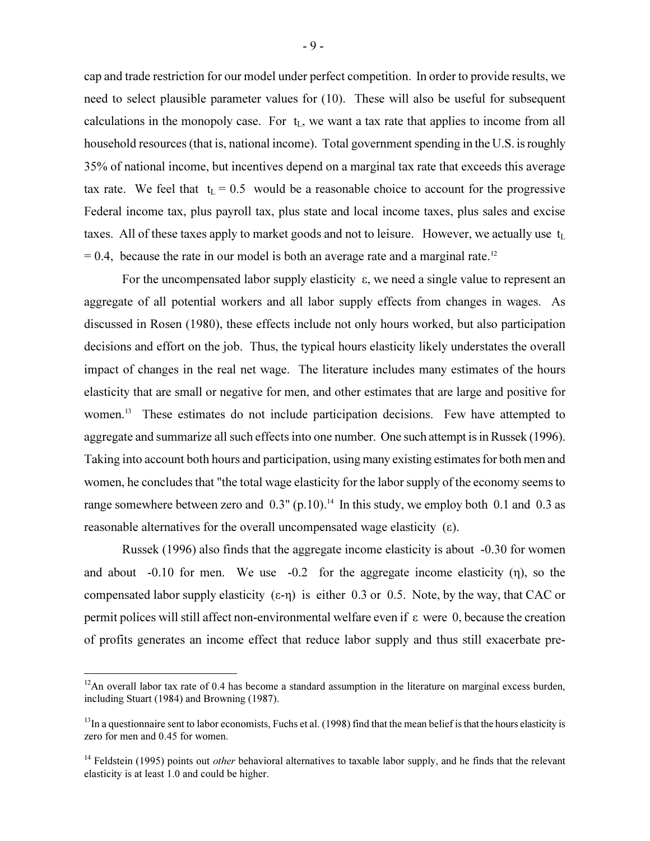cap and trade restriction for our model under perfect competition. In order to provide results, we need to select plausible parameter values for (10). These will also be useful for subsequent calculations in the monopoly case. For  $t_L$ , we want a tax rate that applies to income from all household resources (that is, national income). Total government spending in the U.S. is roughly 35% of national income, but incentives depend on a marginal tax rate that exceeds this average tax rate. We feel that  $t<sub>L</sub> = 0.5$  would be a reasonable choice to account for the progressive Federal income tax, plus payroll tax, plus state and local income taxes, plus sales and excise taxes. All of these taxes apply to market goods and not to leisure. However, we actually use  $t_L$  $= 0.4$ , because the rate in our model is both an average rate and a marginal rate.<sup>12</sup>

For the uncompensated labor supply elasticity ε, we need a single value to represent an aggregate of all potential workers and all labor supply effects from changes in wages. As discussed in Rosen (1980), these effects include not only hours worked, but also participation decisions and effort on the job. Thus, the typical hours elasticity likely understates the overall impact of changes in the real net wage. The literature includes many estimates of the hours elasticity that are small or negative for men, and other estimates that are large and positive for women.<sup>13</sup> These estimates do not include participation decisions. Few have attempted to aggregate and summarize all such effects into one number. One such attempt is in Russek (1996). Taking into account both hours and participation, using many existing estimates for both men and women, he concludes that "the total wage elasticity for the labor supply of the economy seems to range somewhere between zero and  $0.3$ " (p.10).<sup>14</sup> In this study, we employ both 0.1 and 0.3 as reasonable alternatives for the overall uncompensated wage elasticity (ε).

Russek (1996) also finds that the aggregate income elasticity is about -0.30 for women and about  $-0.10$  for men. We use  $-0.2$  for the aggregate income elasticity (η), so the compensated labor supply elasticity (ε-η) is either 0.3 or 0.5. Note, by the way, that CAC or permit polices will still affect non-environmental welfare even if ε were 0, because the creation of profits generates an income effect that reduce labor supply and thus still exacerbate pre-

 $12$ An overall labor tax rate of 0.4 has become a standard assumption in the literature on marginal excess burden, including Stuart (1984) and Browning (1987).

 $<sup>13</sup>$ In a questionnaire sent to labor economists, Fuchs et al. (1998) find that the mean belief is that the hours elasticity is</sup> zero for men and 0.45 for women.

<sup>&</sup>lt;sup>14</sup> Feldstein (1995) points out *other* behavioral alternatives to taxable labor supply, and he finds that the relevant elasticity is at least 1.0 and could be higher.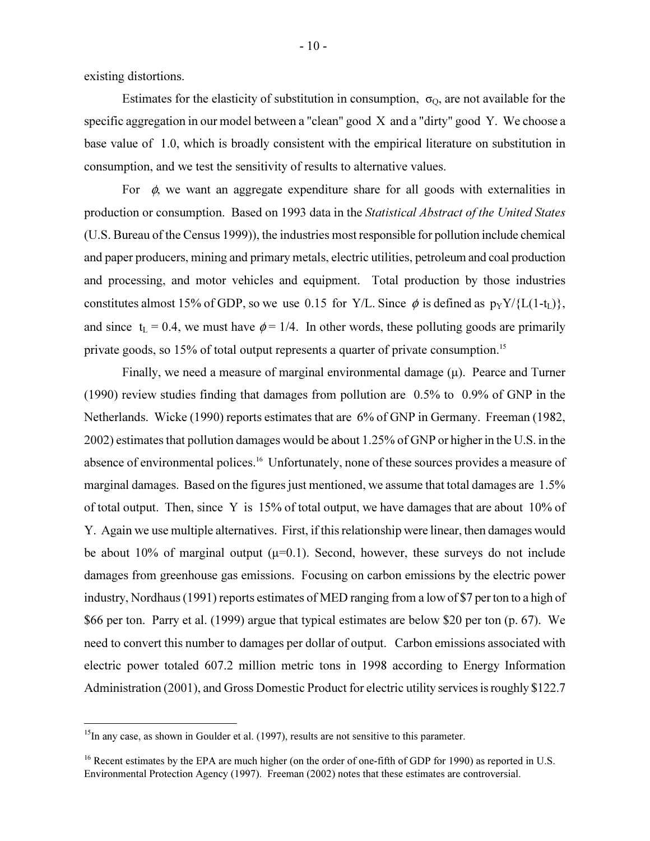existing distortions.

 $\overline{a}$ 

Estimates for the elasticity of substitution in consumption,  $\sigma_Q$ , are not available for the specific aggregation in our model between a "clean" good X and a "dirty" good Y. We choose a base value of 1.0, which is broadly consistent with the empirical literature on substitution in consumption, and we test the sensitivity of results to alternative values.

For  $\phi$ , we want an aggregate expenditure share for all goods with externalities in production or consumption. Based on 1993 data in the Statistical Abstract of the United States (U.S. Bureau of the Census 1999)), the industries most responsible for pollution include chemical and paper producers, mining and primary metals, electric utilities, petroleum and coal production and processing, and motor vehicles and equipment. Total production by those industries constitutes almost 15% of GDP, so we use 0.15 for Y/L. Since  $\phi$  is defined as  $p_YY/\{L(1-t_L)\},$ and since  $t_L = 0.4$ , we must have  $\phi = 1/4$ . In other words, these polluting goods are primarily private goods, so 15% of total output represents a quarter of private consumption.<sup>15</sup>

Finally, we need a measure of marginal environmental damage  $(\mu)$ . Pearce and Turner (1990) review studies finding that damages from pollution are 0.5% to 0.9% of GNP in the Netherlands. Wicke (1990) reports estimates that are 6% of GNP in Germany. Freeman (1982, 2002) estimates that pollution damages would be about 1.25% of GNP or higher in the U.S. in the absence of environmental polices.<sup>16</sup> Unfortunately, none of these sources provides a measure of marginal damages. Based on the figures just mentioned, we assume that total damages are 1.5% of total output. Then, since Y is 15% of total output, we have damages that are about 10% of Y. Again we use multiple alternatives. First, if this relationship were linear, then damages would be about 10% of marginal output  $(\mu=0.1)$ . Second, however, these surveys do not include damages from greenhouse gas emissions. Focusing on carbon emissions by the electric power industry, Nordhaus (1991) reports estimates of MED ranging from a low of \$7 per ton to a high of \$66 per ton. Parry et al. (1999) argue that typical estimates are below \$20 per ton (p. 67). We need to convert this number to damages per dollar of output. Carbon emissions associated with electric power totaled 607.2 million metric tons in 1998 according to Energy Information Administration (2001), and Gross Domestic Product for electric utility services is roughly \$122.7

 $<sup>15</sup>$ In any case, as shown in Goulder et al. (1997), results are not sensitive to this parameter.</sup>

<sup>&</sup>lt;sup>16</sup> Recent estimates by the EPA are much higher (on the order of one-fifth of GDP for 1990) as reported in U.S. Environmental Protection Agency (1997). Freeman (2002) notes that these estimates are controversial.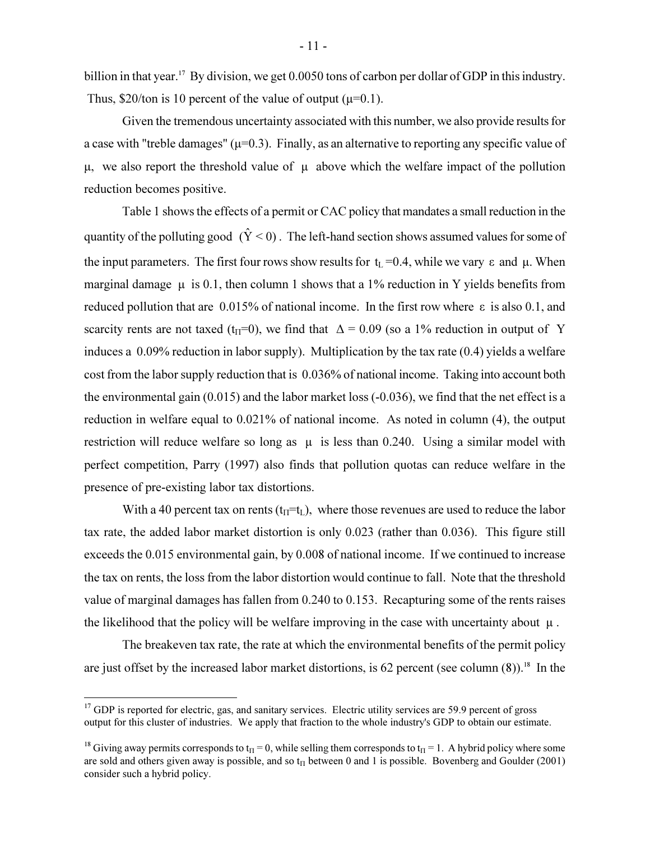billion in that year.<sup>17</sup> By division, we get 0.0050 tons of carbon per dollar of GDP in this industry. Thus, \$20/ton is 10 percent of the value of output  $(\mu=0.1)$ .

 Given the tremendous uncertainty associated with this number, we also provide results for a case with "treble damages"  $(\mu=0.3)$ . Finally, as an alternative to reporting any specific value of  $\mu$ , we also report the threshold value of  $\mu$  above which the welfare impact of the pollution reduction becomes positive.

Table 1 shows the effects of a permit or CAC policy that mandates a small reduction in the quantity of the polluting good  $(\hat{Y} < 0)$ . The left-hand section shows assumed values for some of the input parameters. The first four rows show results for  $t_L = 0.4$ , while we vary  $\varepsilon$  and  $\mu$ . When marginal damage  $\mu$  is 0.1, then column 1 shows that a 1% reduction in Y yields benefits from reduced pollution that are 0.015% of national income. In the first row where ε is also 0.1, and scarcity rents are not taxed (t<sub>Π</sub>=0), we find that  $\Delta = 0.09$  (so a 1% reduction in output of Y induces a 0.09% reduction in labor supply). Multiplication by the tax rate (0.4) yields a welfare cost from the labor supply reduction that is 0.036% of national income. Taking into account both the environmental gain (0.015) and the labor market loss (-0.036), we find that the net effect is a reduction in welfare equal to 0.021% of national income. As noted in column (4), the output restriction will reduce welfare so long as  $\mu$  is less than 0.240. Using a similar model with perfect competition, Parry (1997) also finds that pollution quotas can reduce welfare in the presence of pre-existing labor tax distortions.

With a 40 percent tax on rents ( $t_{\Pi} = t_L$ ), where those revenues are used to reduce the labor tax rate, the added labor market distortion is only 0.023 (rather than 0.036). This figure still exceeds the 0.015 environmental gain, by 0.008 of national income. If we continued to increase the tax on rents, the loss from the labor distortion would continue to fall. Note that the threshold value of marginal damages has fallen from 0.240 to 0.153. Recapturing some of the rents raises the likelihood that the policy will be welfare improving in the case with uncertainty about  $\mu$ .

The breakeven tax rate, the rate at which the environmental benefits of the permit policy are just offset by the increased labor market distortions, is 62 percent (see column  $(8)$ ).<sup>18</sup> In the

<sup>&</sup>lt;sup>17</sup> GDP is reported for electric, gas, and sanitary services. Electric utility services are 59.9 percent of gross output for this cluster of industries. We apply that fraction to the whole industry's GDP to obtain our estimate.

<sup>&</sup>lt;sup>18</sup> Giving away permits corresponds to t<sub>Π</sub> = 0, while selling them corresponds to t<sub>Π</sub> = 1. A hybrid policy where some are sold and others given away is possible, and so  $t_{\text{II}}$  between 0 and 1 is possible. Bovenberg and Goulder (2001) consider such a hybrid policy.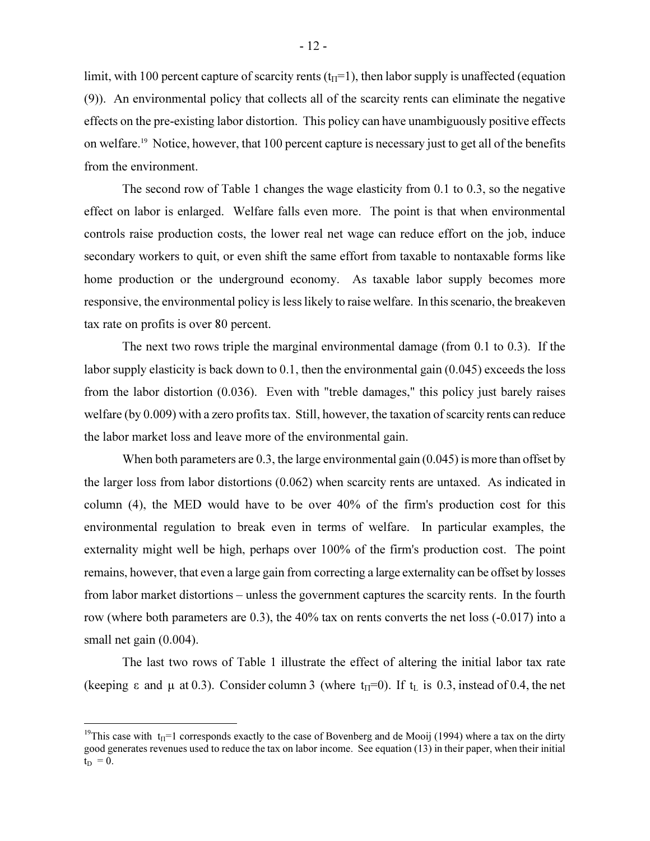limit, with 100 percent capture of scarcity rents  $(t_{\Pi}=1)$ , then labor supply is unaffected (equation (9)). An environmental policy that collects all of the scarcity rents can eliminate the negative effects on the pre-existing labor distortion. This policy can have unambiguously positive effects on welfare.<sup>19</sup> Notice, however, that 100 percent capture is necessary just to get all of the benefits from the environment.

The second row of Table 1 changes the wage elasticity from 0.1 to 0.3, so the negative effect on labor is enlarged. Welfare falls even more. The point is that when environmental controls raise production costs, the lower real net wage can reduce effort on the job, induce secondary workers to quit, or even shift the same effort from taxable to nontaxable forms like home production or the underground economy. As taxable labor supply becomes more responsive, the environmental policy is less likely to raise welfare. In this scenario, the breakeven tax rate on profits is over 80 percent.

The next two rows triple the marginal environmental damage (from 0.1 to 0.3). If the labor supply elasticity is back down to 0.1, then the environmental gain (0.045) exceeds the loss from the labor distortion (0.036). Even with "treble damages," this policy just barely raises welfare (by 0.009) with a zero profits tax. Still, however, the taxation of scarcity rents can reduce the labor market loss and leave more of the environmental gain.

When both parameters are 0.3, the large environmental gain (0.045) is more than offset by the larger loss from labor distortions (0.062) when scarcity rents are untaxed. As indicated in column (4), the MED would have to be over 40% of the firm's production cost for this environmental regulation to break even in terms of welfare. In particular examples, the externality might well be high, perhaps over 100% of the firm's production cost. The point remains, however, that even a large gain from correcting a large externality can be offset by losses from labor market distortions – unless the government captures the scarcity rents. In the fourth row (where both parameters are 0.3), the 40% tax on rents converts the net loss (-0.017) into a small net gain  $(0.004)$ .

The last two rows of Table 1 illustrate the effect of altering the initial labor tax rate (keeping  $\varepsilon$  and  $\mu$  at 0.3). Consider column 3 (where  $t_{\text{II}}=0$ ). If  $t_{\text{I}}$  is 0.3, instead of 0.4, the net

<sup>&</sup>lt;sup>19</sup>This case with t<sub>Π</sub>=1 corresponds exactly to the case of Bovenberg and de Mooij (1994) where a tax on the dirty good generates revenues used to reduce the tax on labor income. See equation (13) in their paper, when their initial  $t_D = 0.$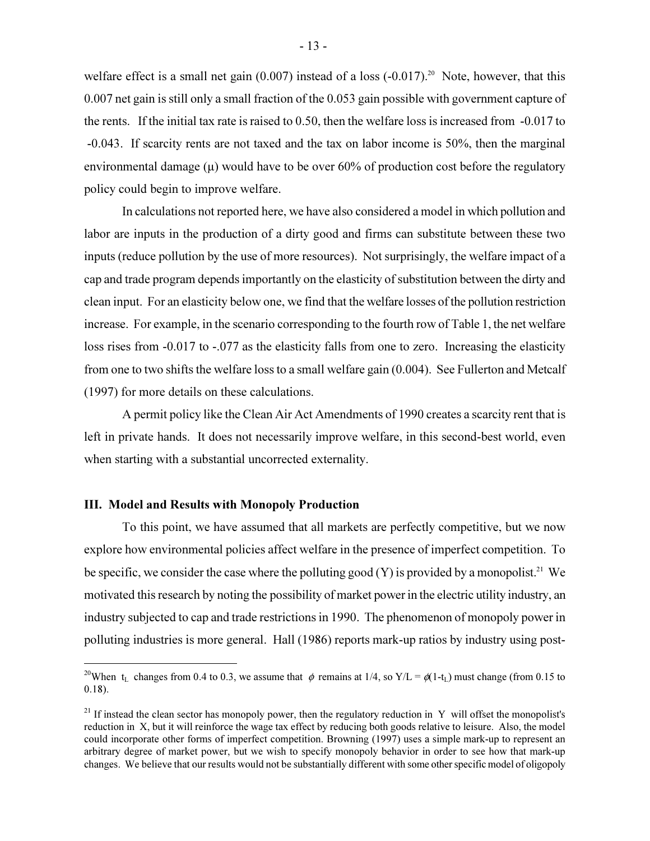welfare effect is a small net gain  $(0.007)$  instead of a loss  $(-0.017)$ .<sup>20</sup> Note, however, that this 0.007 net gain is still only a small fraction of the 0.053 gain possible with government capture of the rents. If the initial tax rate is raised to 0.50, then the welfare loss is increased from -0.017 to -0.043. If scarcity rents are not taxed and the tax on labor income is 50%, then the marginal environmental damage  $(\mu)$  would have to be over 60% of production cost before the regulatory policy could begin to improve welfare.

In calculations not reported here, we have also considered a model in which pollution and labor are inputs in the production of a dirty good and firms can substitute between these two inputs (reduce pollution by the use of more resources). Not surprisingly, the welfare impact of a cap and trade program depends importantly on the elasticity of substitution between the dirty and clean input. For an elasticity below one, we find that the welfare losses of the pollution restriction increase. For example, in the scenario corresponding to the fourth row of Table 1, the net welfare loss rises from -0.017 to -.077 as the elasticity falls from one to zero. Increasing the elasticity from one to two shifts the welfare loss to a small welfare gain (0.004). See Fullerton and Metcalf (1997) for more details on these calculations.

A permit policy like the Clean Air Act Amendments of 1990 creates a scarcity rent that is left in private hands. It does not necessarily improve welfare, in this second-best world, even when starting with a substantial uncorrected externality.

#### III. Model and Results with Monopoly Production

 $\overline{a}$ 

To this point, we have assumed that all markets are perfectly competitive, but we now explore how environmental policies affect welfare in the presence of imperfect competition. To be specific, we consider the case where the polluting good  $(Y)$  is provided by a monopolist.<sup>21</sup> We motivated this research by noting the possibility of market power in the electric utility industry, an industry subjected to cap and trade restrictions in 1990. The phenomenon of monopoly power in polluting industries is more general. Hall (1986) reports mark-up ratios by industry using post-

<sup>&</sup>lt;sup>20</sup>When t<sub>L</sub> changes from 0.4 to 0.3, we assume that  $\phi$  remains at 1/4, so Y/L =  $\phi$ (1-t<sub>L</sub>) must change (from 0.15 to 0.18).

<sup>&</sup>lt;sup>21</sup> If instead the clean sector has monopoly power, then the regulatory reduction in Y will offset the monopolist's reduction in X, but it will reinforce the wage tax effect by reducing both goods relative to leisure. Also, the model could incorporate other forms of imperfect competition. Browning (1997) uses a simple mark-up to represent an arbitrary degree of market power, but we wish to specify monopoly behavior in order to see how that mark-up changes. We believe that our results would not be substantially different with some other specific model of oligopoly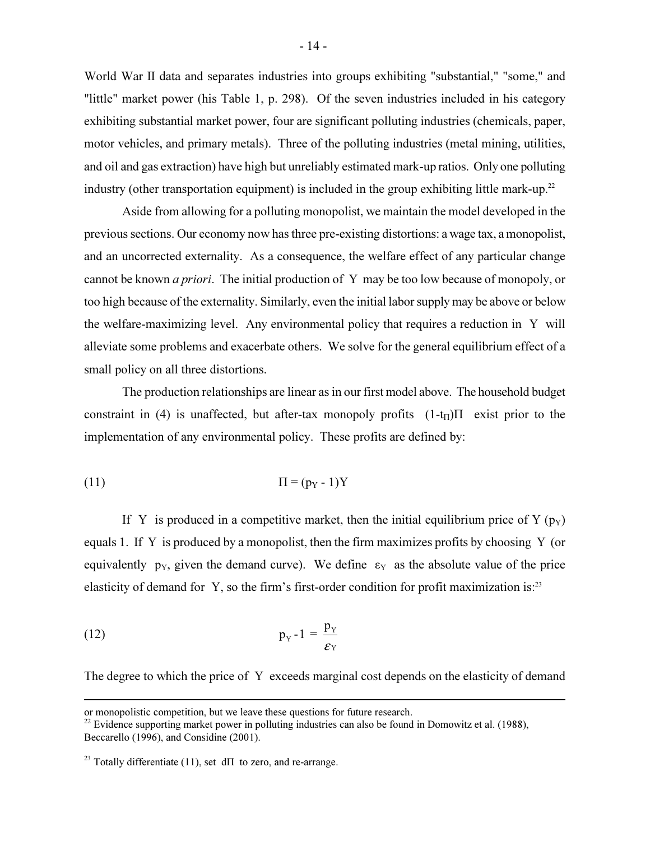World War II data and separates industries into groups exhibiting "substantial," "some," and "little" market power (his Table 1, p. 298). Of the seven industries included in his category exhibiting substantial market power, four are significant polluting industries (chemicals, paper, motor vehicles, and primary metals). Three of the polluting industries (metal mining, utilities, and oil and gas extraction) have high but unreliably estimated mark-up ratios. Only one polluting industry (other transportation equipment) is included in the group exhibiting little mark-up.<sup>22</sup>

Aside from allowing for a polluting monopolist, we maintain the model developed in the previous sections. Our economy now has three pre-existing distortions: a wage tax, a monopolist, and an uncorrected externality. As a consequence, the welfare effect of any particular change cannot be known a priori. The initial production of Y may be too low because of monopoly, or too high because of the externality. Similarly, even the initial labor supply may be above or below the welfare-maximizing level. Any environmental policy that requires a reduction in Y will alleviate some problems and exacerbate others. We solve for the general equilibrium effect of a small policy on all three distortions.

The production relationships are linear as in our first model above. The household budget constraint in (4) is unaffected, but after-tax monopoly profits  $(1-t<sub>Π</sub>)\Pi$  exist prior to the implementation of any environmental policy. These profits are defined by:

$$
(11) \t\t \Pi = (p_Y - 1)Y
$$

If Y is produced in a competitive market, then the initial equilibrium price of Y ( $p_Y$ ) equals 1. If Y is produced by a monopolist, then the firm maximizes profits by choosing Y (or equivalently  $p_Y$ , given the demand curve). We define  $\varepsilon_Y$  as the absolute value of the price elasticity of demand for Y, so the firm's first-order condition for profit maximization is:<sup>23</sup>

$$
p_{\rm Y} - 1 = \frac{p_{\rm Y}}{\varepsilon_{\rm Y}}
$$

l

The degree to which the price of Y exceeds marginal cost depends on the elasticity of demand

or monopolistic competition, but we leave these questions for future research.

 $^{22}$  Evidence supporting market power in polluting industries can also be found in Domowitz et al. (1988), Beccarello (1996), and Considine (2001).

<sup>&</sup>lt;sup>23</sup> Totally differentiate (11), set  $\mathrm{d}\Pi$  to zero, and re-arrange.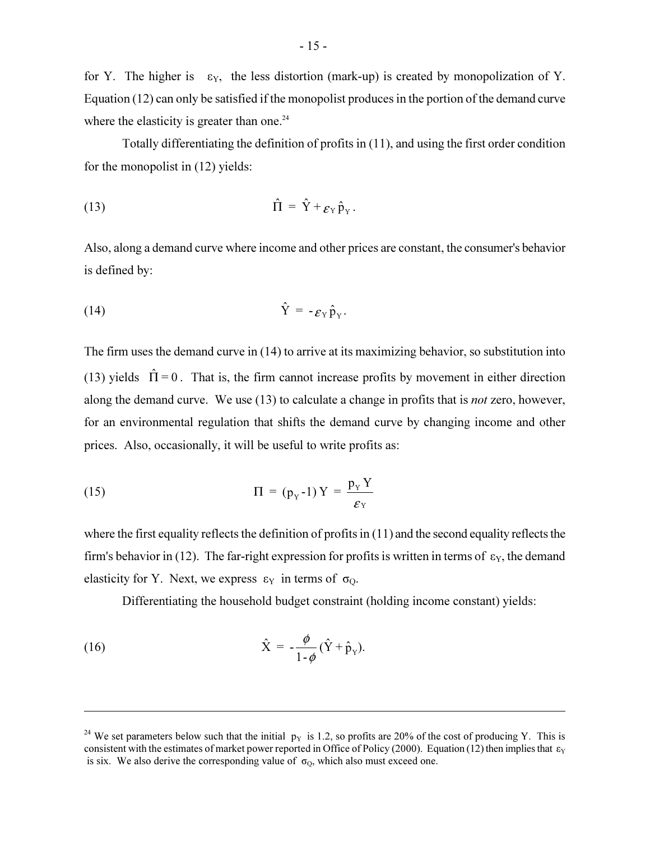for Y. The higher is  $\varepsilon_y$ , the less distortion (mark-up) is created by monopolization of Y. Equation (12) can only be satisfied if the monopolist produces in the portion of the demand curve where the elasticity is greater than one. $24$ 

Totally differentiating the definition of profits in (11), and using the first order condition for the monopolist in (12) yields:

(13) 
$$
\hat{\Pi} = \hat{Y} + \varepsilon_{Y} \hat{p}_{Y}.
$$

Also, along a demand curve where income and other prices are constant, the consumer's behavior is defined by:

$$
\hat{\Upsilon} = -\varepsilon_{\Upsilon} \hat{p}_{\Upsilon}.
$$

The firm uses the demand curve in (14) to arrive at its maximizing behavior, so substitution into (13) yields  $\hat{\Pi} = 0$ . That is, the firm cannot increase profits by movement in either direction along the demand curve. We use (13) to calculate a change in profits that is *not* zero, however, for an environmental regulation that shifts the demand curve by changing income and other prices. Also, occasionally, it will be useful to write profits as:

(15) 
$$
\Pi = (p_{Y} - 1)Y = \frac{p_{Y}Y}{\varepsilon_{Y}}
$$

where the first equality reflects the definition of profits in (11) and the second equality reflects the firm's behavior in (12). The far-right expression for profits is written in terms of  $\varepsilon_{Y}$ , the demand elasticity for Y. Next, we express  $\varepsilon_Y$  in terms of  $\sigma_O$ .

Differentiating the household budget constraint (holding income constant) yields:

(16) 
$$
\hat{X} = -\frac{\phi}{1-\phi}(\hat{Y} + \hat{p}_Y).
$$

<sup>&</sup>lt;sup>24</sup> We set parameters below such that the initial  $p_Y$  is 1.2, so profits are 20% of the cost of producing Y. This is consistent with the estimates of market power reported in Office of Policy (2000). Equation (12) then implies that  $\varepsilon_Y$ is six. We also derive the corresponding value of  $\sigma_0$ , which also must exceed one.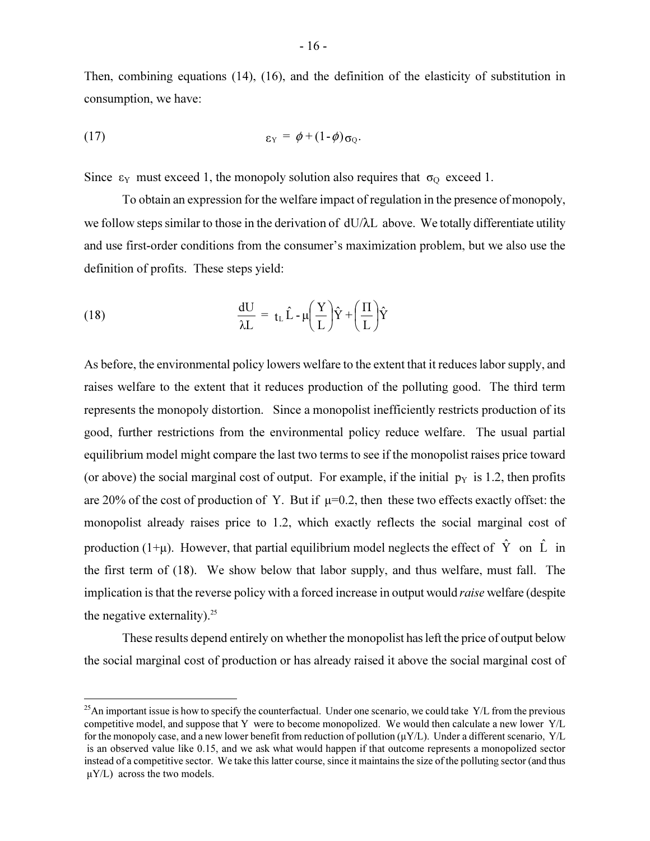Then, combining equations (14), (16), and the definition of the elasticity of substitution in consumption, we have:

$$
\epsilon_{\rm Y} = \phi + (1-\phi)\sigma_{\rm Q}.
$$

Since  $\varepsilon_Y$  must exceed 1, the monopoly solution also requires that  $\sigma_Q$  exceed 1.

To obtain an expression for the welfare impact of regulation in the presence of monopoly, we follow steps similar to those in the derivation of dU/λL above. We totally differentiate utility and use first-order conditions from the consumer's maximization problem, but we also use the definition of profits. These steps yield:

(18) 
$$
\frac{dU}{\lambda L} = t_L \hat{L} - \mu \left(\frac{Y}{L}\right) \hat{Y} + \left(\frac{\Pi}{L}\right) \hat{Y}
$$

 $\overline{a}$ 

As before, the environmental policy lowers welfare to the extent that it reduces labor supply, and raises welfare to the extent that it reduces production of the polluting good. The third term represents the monopoly distortion. Since a monopolist inefficiently restricts production of its good, further restrictions from the environmental policy reduce welfare. The usual partial equilibrium model might compare the last two terms to see if the monopolist raises price toward (or above) the social marginal cost of output. For example, if the initial  $p<sub>Y</sub>$  is 1.2, then profits are 20% of the cost of production of Y. But if  $\mu$ =0.2, then these two effects exactly offset: the monopolist already raises price to 1.2, which exactly reflects the social marginal cost of production (1+ $\mu$ ). However, that partial equilibrium model neglects the effect of  $\hat{Y}$  on  $\hat{L}$  in the first term of (18). We show below that labor supply, and thus welfare, must fall. The implication is that the reverse policy with a forced increase in output would *raise* welfare (despite the negative externality).<sup>25</sup>

These results depend entirely on whether the monopolist has left the price of output below the social marginal cost of production or has already raised it above the social marginal cost of

 $^{25}$ An important issue is how to specify the counterfactual. Under one scenario, we could take Y/L from the previous competitive model, and suppose that Y were to become monopolized. We would then calculate a new lower Y/L for the monopoly case, and a new lower benefit from reduction of pollution  $(\mu Y/L)$ . Under a different scenario, Y/L is an observed value like 0.15, and we ask what would happen if that outcome represents a monopolized sector instead of a competitive sector. We take this latter course, since it maintains the size of the polluting sector (and thus  $\mu$ Y/L) across the two models.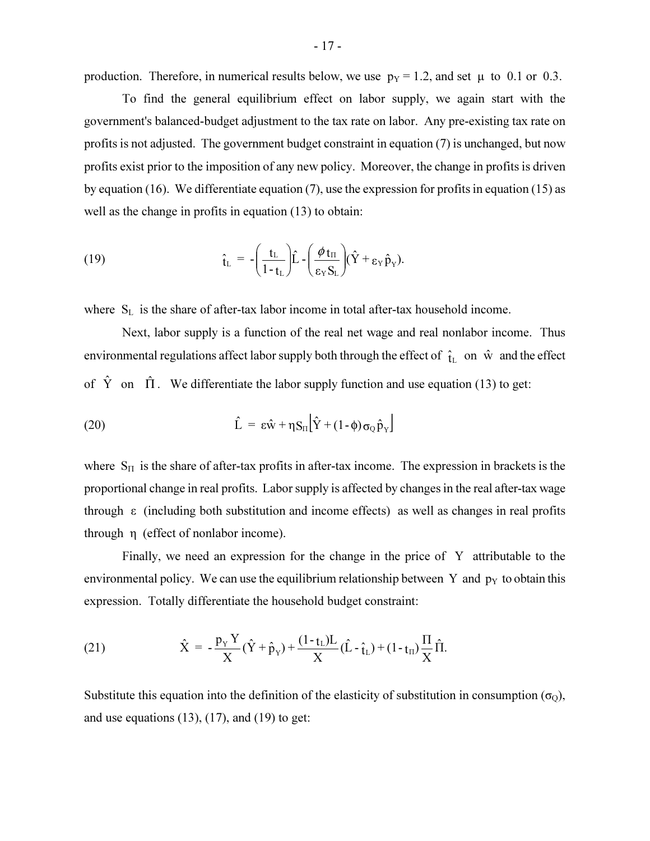production. Therefore, in numerical results below, we use  $p_y = 1.2$ , and set  $\mu$  to 0.1 or 0.3.

To find the general equilibrium effect on labor supply, we again start with the government's balanced-budget adjustment to the tax rate on labor. Any pre-existing tax rate on profits is not adjusted. The government budget constraint in equation (7) is unchanged, but now profits exist prior to the imposition of any new policy. Moreover, the change in profits is driven by equation (16). We differentiate equation (7), use the expression for profits in equation (15) as well as the change in profits in equation (13) to obtain:

(19) 
$$
\hat{\mathbf{t}}_{\mathrm{L}} = -\left(\frac{\mathbf{t}_{\mathrm{L}}}{1-\mathbf{t}_{\mathrm{L}}}\right)\hat{\mathbf{L}} - \left(\frac{\phi \mathbf{t}_{\mathrm{II}}}{\varepsilon_{\mathrm{Y}} S_{\mathrm{L}}}\right)(\hat{\mathbf{Y}} + \varepsilon_{\mathrm{Y}} \hat{\mathbf{p}}_{\mathrm{Y}}).
$$

where  $S_L$  is the share of after-tax labor income in total after-tax household income.

Next, labor supply is a function of the real net wage and real nonlabor income. Thus environmental regulations affect labor supply both through the effect of  $\hat{t}_L$  on  $\hat{w}$  and the effect of  $\hat{Y}$  on  $\hat{\Pi}$ . We differentiate the labor supply function and use equation (13) to get:

(20) 
$$
\hat{L} = \varepsilon \hat{w} + \eta S_{\Pi} \Big[ \hat{Y} + (1 - \phi) \sigma_{Q} \hat{p}_{Y} \Big]
$$

where  $S_{II}$  is the share of after-tax profits in after-tax income. The expression in brackets is the proportional change in real profits. Labor supply is affected by changes in the real after-tax wage through ε (including both substitution and income effects) as well as changes in real profits through η (effect of nonlabor income).

Finally, we need an expression for the change in the price of Y attributable to the environmental policy. We can use the equilibrium relationship between Y and  $p<sub>Y</sub>$  to obtain this expression. Totally differentiate the household budget constraint:

(21) 
$$
\hat{X} = -\frac{p_{Y} Y}{X} (\hat{Y} + \hat{p}_{Y}) + \frac{(1 - t_{L}) L}{X} (\hat{L} - \hat{t}_{L}) + (1 - t_{\Pi}) \frac{\Pi}{X} \hat{\Pi}.
$$

Substitute this equation into the definition of the elasticity of substitution in consumption  $(\sigma_0)$ , and use equations  $(13)$ ,  $(17)$ , and  $(19)$  to get: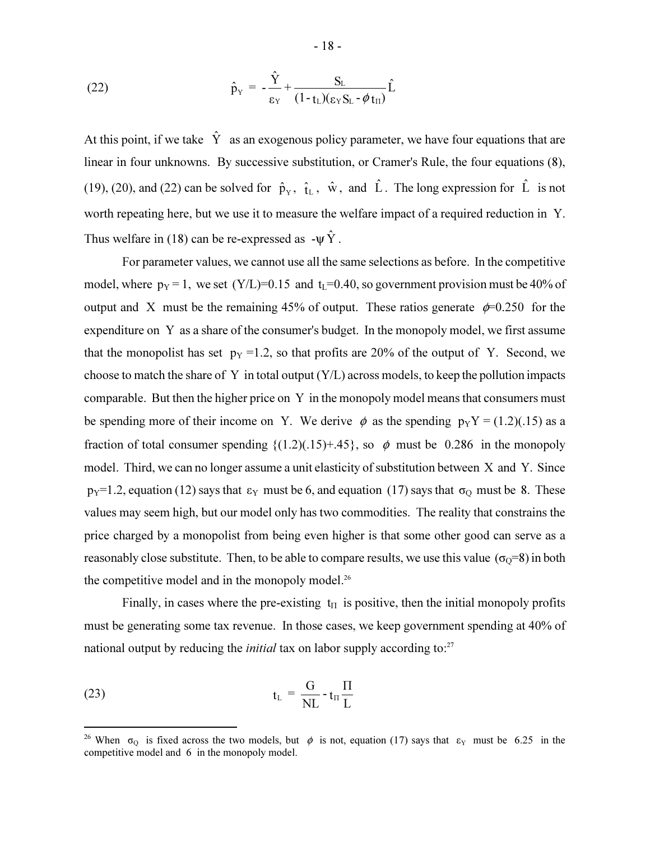(22) 
$$
\hat{p}_{Y} = -\frac{\hat{Y}}{\epsilon_{Y}} + \frac{S_{L}}{(1 - t_{L})(\epsilon_{Y}S_{L} - \phi t_{\Pi})}\hat{L}
$$

At this point, if we take  $\hat{Y}$  as an exogenous policy parameter, we have four equations that are linear in four unknowns. By successive substitution, or Cramer's Rule, the four equations (8), (19), (20), and (22) can be solved for  $\hat{p}_y$ ,  $\hat{t}_L$ ,  $\hat{w}$ , and  $\hat{L}$ . The long expression for  $\hat{L}$  is not worth repeating here, but we use it to measure the welfare impact of a required reduction in Y. Thus welfare in (18) can be re-expressed as  $-\psi \hat{Y}$ .

For parameter values, we cannot use all the same selections as before. In the competitive model, where  $p_Y = 1$ , we set  $(Y/L)=0.15$  and  $t_L=0.40$ , so government provision must be 40% of output and X must be the remaining 45% of output. These ratios generate  $\phi$ =0.250 for the expenditure on Y as a share of the consumer's budget. In the monopoly model, we first assume that the monopolist has set  $p_Y = 1.2$ , so that profits are 20% of the output of Y. Second, we choose to match the share of Y in total output  $(Y/L)$  across models, to keep the pollution impacts comparable. But then the higher price on Y in the monopoly model means that consumers must be spending more of their income on Y. We derive  $\phi$  as the spending  $p_yY = (1.2)(.15)$  as a fraction of total consumer spending  $\{(1,2)(.15)+.45\}$ , so  $\phi$  must be 0.286 in the monopoly model. Third, we can no longer assume a unit elasticity of substitution between X and Y. Since  $p_Y=1.2$ , equation (12) says that  $\varepsilon_Y$  must be 6, and equation (17) says that  $\sigma_Q$  must be 8. These values may seem high, but our model only has two commodities. The reality that constrains the price charged by a monopolist from being even higher is that some other good can serve as a reasonably close substitute. Then, to be able to compare results, we use this value ( $\sigma_0=8$ ) in both the competitive model and in the monopoly model.<sup>26</sup>

Finally, in cases where the pre-existing  $t_{\Pi}$  is positive, then the initial monopoly profits must be generating some tax revenue. In those cases, we keep government spending at 40% of national output by reducing the *initial* tax on labor supply according to: $27$ 

$$
t_{L} = \frac{G}{NL} - t_{\Pi} \frac{\Pi}{L}
$$

<sup>&</sup>lt;sup>26</sup> When  $\sigma_Q$  is fixed across the two models, but  $\phi$  is not, equation (17) says that  $\varepsilon_Y$  must be 6.25 in the competitive model and 6 in the monopoly model.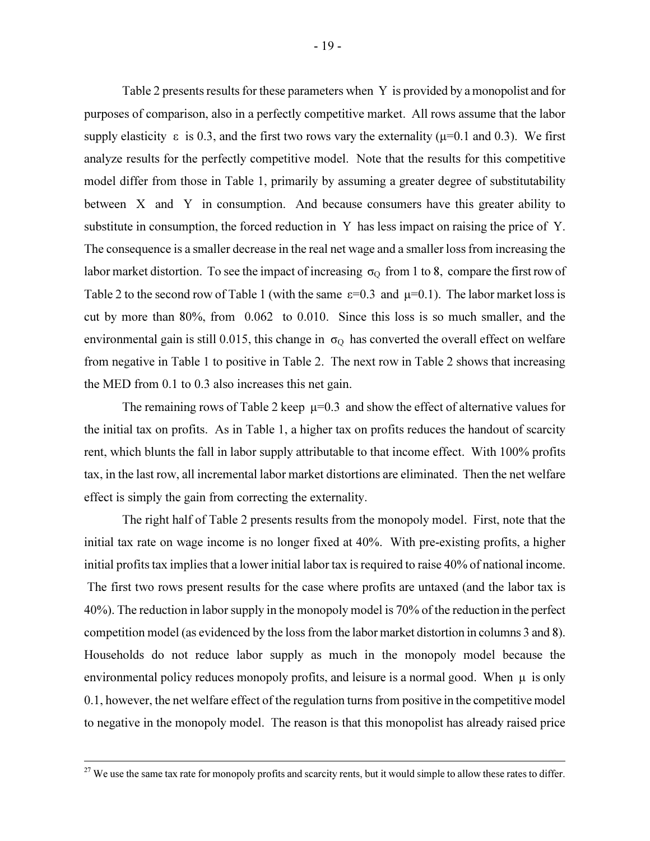Table 2 presents results for these parameters when Y is provided by a monopolist and for purposes of comparison, also in a perfectly competitive market. All rows assume that the labor supply elasticity  $\varepsilon$  is 0.3, and the first two rows vary the externality ( $\mu$ =0.1 and 0.3). We first analyze results for the perfectly competitive model. Note that the results for this competitive model differ from those in Table 1, primarily by assuming a greater degree of substitutability between X and Y in consumption. And because consumers have this greater ability to substitute in consumption, the forced reduction in Y has less impact on raising the price of Y. The consequence is a smaller decrease in the real net wage and a smaller loss from increasing the labor market distortion. To see the impact of increasing  $\sigma_0$  from 1 to 8, compare the first row of Table 2 to the second row of Table 1 (with the same  $\varepsilon$ =0.3 and  $\mu$ =0.1). The labor market loss is cut by more than 80%, from 0.062 to 0.010. Since this loss is so much smaller, and the environmental gain is still 0.015, this change in  $\sigma_{\text{Q}}$  has converted the overall effect on welfare from negative in Table 1 to positive in Table 2. The next row in Table 2 shows that increasing the MED from 0.1 to 0.3 also increases this net gain.

The remaining rows of Table 2 keep  $\mu$ =0.3 and show the effect of alternative values for the initial tax on profits. As in Table 1, a higher tax on profits reduces the handout of scarcity rent, which blunts the fall in labor supply attributable to that income effect. With 100% profits tax, in the last row, all incremental labor market distortions are eliminated. Then the net welfare effect is simply the gain from correcting the externality.

The right half of Table 2 presents results from the monopoly model. First, note that the initial tax rate on wage income is no longer fixed at 40%. With pre-existing profits, a higher initial profits tax implies that a lower initial labor tax is required to raise 40% of national income. The first two rows present results for the case where profits are untaxed (and the labor tax is 40%). The reduction in labor supply in the monopoly model is 70% of the reduction in the perfect competition model (as evidenced by the loss from the labor market distortion in columns 3 and 8). Households do not reduce labor supply as much in the monopoly model because the environmental policy reduces monopoly profits, and leisure is a normal good. When  $\mu$  is only 0.1, however, the net welfare effect of the regulation turns from positive in the competitive model to negative in the monopoly model. The reason is that this monopolist has already raised price

 $27$  We use the same tax rate for monopoly profits and scarcity rents, but it would simple to allow these rates to differ.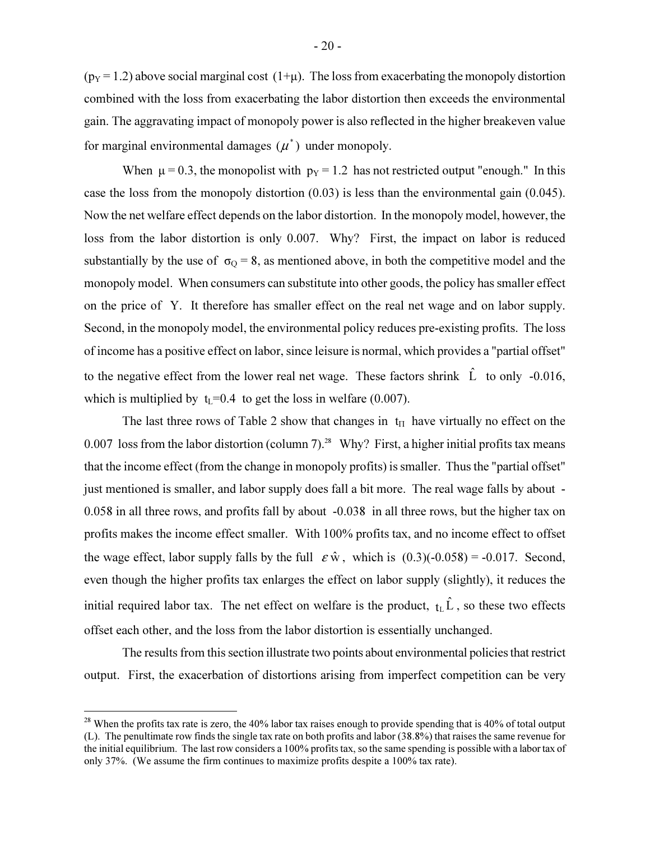$(p_Y = 1.2)$  above social marginal cost  $(1+\mu)$ . The loss from exacerbating the monopoly distortion combined with the loss from exacerbating the labor distortion then exceeds the environmental gain. The aggravating impact of monopoly power is also reflected in the higher breakeven value for marginal environmental damages  $(\mu^*)$  under monopoly.

When  $\mu = 0.3$ , the monopolist with  $p_y = 1.2$  has not restricted output "enough." In this case the loss from the monopoly distortion (0.03) is less than the environmental gain (0.045). Now the net welfare effect depends on the labor distortion. In the monopoly model, however, the loss from the labor distortion is only 0.007. Why? First, the impact on labor is reduced substantially by the use of  $\sigma_0 = 8$ , as mentioned above, in both the competitive model and the monopoly model. When consumers can substitute into other goods, the policy has smaller effect on the price of Y. It therefore has smaller effect on the real net wage and on labor supply. Second, in the monopoly model, the environmental policy reduces pre-existing profits. The loss of income has a positive effect on labor, since leisure is normal, which provides a "partial offset" to the negative effect from the lower real net wage. These factors shrink  $\hat{L}$  to only -0.016, which is multiplied by  $t<sub>L</sub>=0.4$  to get the loss in welfare (0.007).

The last three rows of Table 2 show that changes in  $t_{\text{II}}$  have virtually no effect on the 0.007 loss from the labor distortion (column 7).<sup>28</sup> Why? First, a higher initial profits tax means that the income effect (from the change in monopoly profits) is smaller. Thus the "partial offset" just mentioned is smaller, and labor supply does fall a bit more. The real wage falls by about - 0.058 in all three rows, and profits fall by about -0.038 in all three rows, but the higher tax on profits makes the income effect smaller. With 100% profits tax, and no income effect to offset the wage effect, labor supply falls by the full  $\varepsilon \hat{w}$ , which is  $(0.3)(-0.058) = -0.017$ . Second, even though the higher profits tax enlarges the effect on labor supply (slightly), it reduces the initial required labor tax. The net effect on welfare is the product,  $t_L \hat{L}$ , so these two effects offset each other, and the loss from the labor distortion is essentially unchanged.

The results from this section illustrate two points about environmental policies that restrict output. First, the exacerbation of distortions arising from imperfect competition can be very

 $^{28}$  When the profits tax rate is zero, the 40% labor tax raises enough to provide spending that is 40% of total output (L). The penultimate row finds the single tax rate on both profits and labor (38.8%) that raises the same revenue for the initial equilibrium. The last row considers a 100% profits tax, so the same spending is possible with a labor tax of only 37%. (We assume the firm continues to maximize profits despite a 100% tax rate).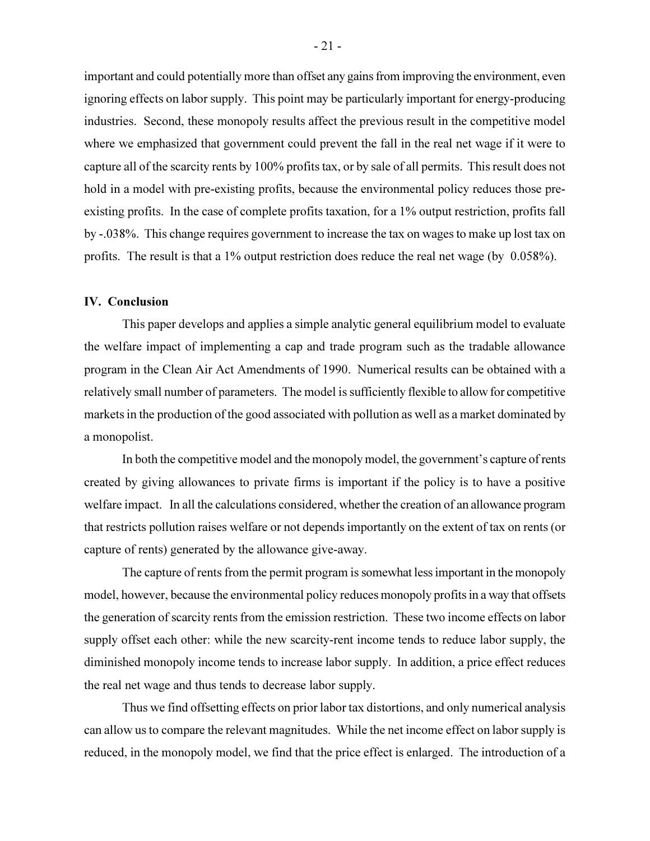important and could potentially more than offset any gains from improving the environment, even ignoring effects on labor supply. This point may be particularly important for energy-producing industries. Second, these monopoly results affect the previous result in the competitive model where we emphasized that government could prevent the fall in the real net wage if it were to capture all of the scarcity rents by 100% profits tax, or by sale of all permits. This result does not hold in a model with pre-existing profits, because the environmental policy reduces those preexisting profits. In the case of complete profits taxation, for a 1% output restriction, profits fall by -.038%. This change requires government to increase the tax on wages to make up lost tax on profits. The result is that a 1% output restriction does reduce the real net wage (by 0.058%).

#### IV. Conclusion

This paper develops and applies a simple analytic general equilibrium model to evaluate the welfare impact of implementing a cap and trade program such as the tradable allowance program in the Clean Air Act Amendments of 1990. Numerical results can be obtained with a relatively small number of parameters. The model is sufficiently flexible to allow for competitive markets in the production of the good associated with pollution as well as a market dominated by a monopolist.

In both the competitive model and the monopoly model, the government's capture of rents created by giving allowances to private firms is important if the policy is to have a positive welfare impact. In all the calculations considered, whether the creation of an allowance program that restricts pollution raises welfare or not depends importantly on the extent of tax on rents (or capture of rents) generated by the allowance give-away.

The capture of rents from the permit program is somewhat less important in the monopoly model, however, because the environmental policy reduces monopoly profits in a way that offsets the generation of scarcity rents from the emission restriction. These two income effects on labor supply offset each other: while the new scarcity-rent income tends to reduce labor supply, the diminished monopoly income tends to increase labor supply. In addition, a price effect reduces the real net wage and thus tends to decrease labor supply.

Thus we find offsetting effects on prior labor tax distortions, and only numerical analysis can allow us to compare the relevant magnitudes. While the net income effect on labor supply is reduced, in the monopoly model, we find that the price effect is enlarged. The introduction of a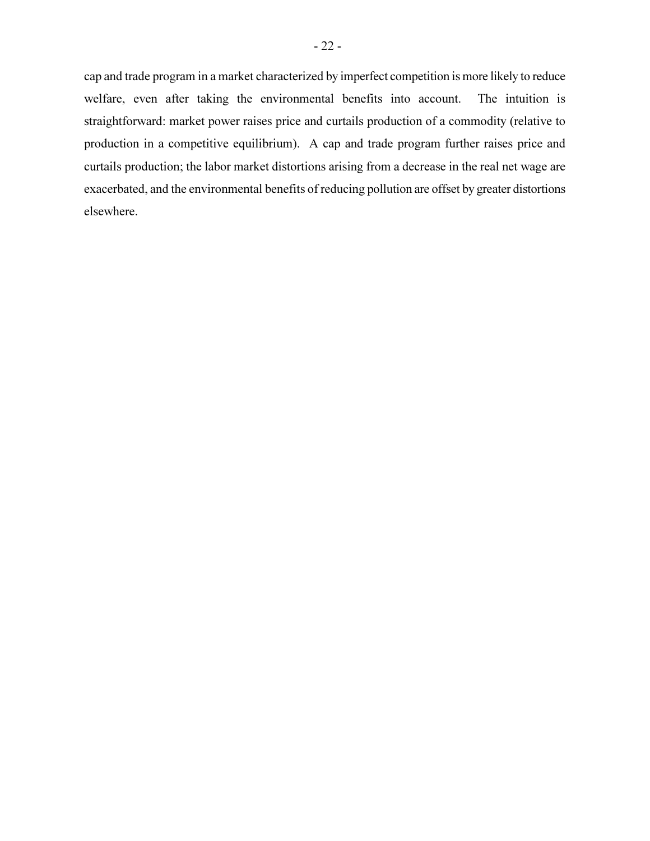cap and trade program in a market characterized by imperfect competition is more likely to reduce welfare, even after taking the environmental benefits into account. The intuition is straightforward: market power raises price and curtails production of a commodity (relative to production in a competitive equilibrium). A cap and trade program further raises price and curtails production; the labor market distortions arising from a decrease in the real net wage are exacerbated, and the environmental benefits of reducing pollution are offset by greater distortions elsewhere.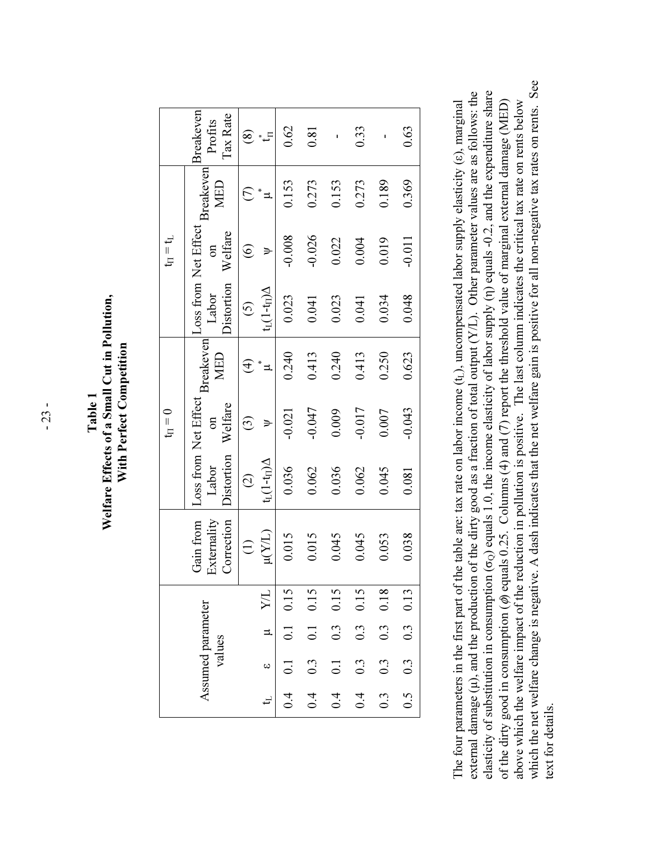Welfare Effects of a Small Cut in Pollution, Welfare Effects of a Small Cut in Pollution, With Perfect Competition With Perfect Competition Table 1

|                  |                             |            |            |                                        |                                             | $t_{\Pi} = 0$     |                         |                                  | $t_{\Pi}=t_{\mathrm{L}}$                  |                  |                                  |
|------------------|-----------------------------|------------|------------|----------------------------------------|---------------------------------------------|-------------------|-------------------------|----------------------------------|-------------------------------------------|------------------|----------------------------------|
|                  | Assumed parameter<br>values |            |            | Externality<br>Correction<br>Gain from | Loss from Net Effect<br>Distortion<br>Labor | Welfare<br>$\sin$ | <b>Breakeven</b><br>MED | <b>Distortion</b><br>Labor       | Loss from Net Effect<br>Welfare<br>$\sin$ | Breakeven<br>MED | Breakeven<br>Tax Rate<br>Profits |
|                  |                             |            |            | $\widehat{\Xi}$                        | $\widehat{C}$                               | ි)                | र्न                     | $\odot$                          | $\circledcirc$                            |                  | $\hat{8}$                        |
|                  | $t_1$ 8                     | $\mu$ Y/L  |            | $\mu(Y/L)$                             | $\Delta(\text{1-t}_{\text{II}})$            |                   |                         | $\Delta(\text{1-t}_{\text{II}})$ |                                           |                  | $\mathsf{L}^*$                   |
| 6.4              | $\overline{0.1}$            |            | $0.1$ 0.15 | 0.015                                  | 0.036                                       | $-0.021$          | 0.240                   | 0.023                            | $-0.008$                                  | 0.153            | 0.62                             |
|                  | $0.4$ 0.3                   |            | $0.1$ 0.15 | 0.015                                  | 0.062                                       | $-0.047$          | 0.413                   | 0.041                            | $-0.026$                                  | 0.273            | 0.81                             |
| 0.4              | 0.1                         | 0.3        | 0.15       | 0.045                                  | 0.036                                       | 0.009             | 0.240                   | 0.023                            | 0.022                                     | 0.153            | ı                                |
| 0.4              | $0.\overline{3}$            | 0.3        | 0.15       | 0.045                                  | 0.062                                       | $-0.017$          | 0.413                   | 0.041                            | 0.004                                     | 0.273            | 0.33                             |
| $0.\overline{3}$ | $0.\overline{3}$            | 0.3        | 0.18       | 0.053                                  | 0.045                                       | 0.007             | 0.250                   | 0.034                            | 0.019                                     | 0.189            | ı                                |
| 0.5              | 0.3                         | $0.3$ 0.13 |            | 0.038                                  | 0.081                                       | $-0.043$          | 0.623                   | 0.048                            | $-0.011$                                  | 0.369            | 0.63                             |

which the net welfare change is negative. A dash indicates that the net welfare gain is positive for all non-negative tax rates on rents. See which the net welfare change is negative. A dash indicates that the net welfare gain is positive for all non-negative tax rates on rents. See external damage  $(\mu)$ , and the production of the dirty good as a fraction of total output  $(Y/L)$ . Other parameter values are as follows: the  $_{Q}$ ) equals 1.0, the income elasticity of labor supply (η) equals -0.2, and the expenditure share external damage  $(\mu)$ , and the production of the dirty good as a fraction of total output (Y/L). Other parameter values are as follows: the elasticity of substitution in consumption ( $\sigma_Q$ ) equals 1.0, the income elasticity of labor supply (n) equals -0.2, and the expenditure share of the dirty good in consumption (φ) equals 0.25. Columns (4) and (7) report the threshold value of marginal external damage (MED) The four parameters in the first part of the table are: tax rate on labor income  $(t_L)$ , uncompensated labor supply elasticity  $(\varepsilon)$ , marginal above which the welfare impact of the reduction in pollution is positive. The last column indicates the critical tax rate on rents below The four parameters in the first part of the table are: tax rate on labor income  $(t_L)$ , uncompensated labor supply elasticity  $(\varepsilon)$ , marginal above which the welfare impact of the reduction in pollution is positive. The last column indicates the critical tax rate on rents below of the dirty good in consumption ( $\phi$ ) equals 0.25. Columns (4) and (7) report the threshold value of marginal external damage (MED) elasticity of substitution in consumption (σ text for details. text for details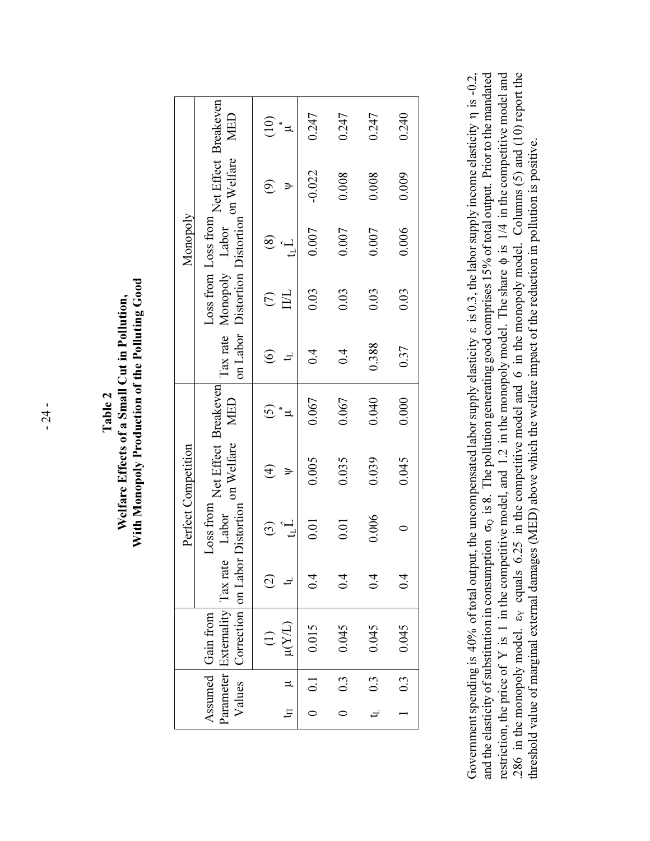With Monopoly Production of the Polluting Good With Monopoly Production of the Polluting Good Welfare Effects of a Small Cut in Pollution, Welfare Effects of a Small Cut in Pollution, Table 2

|                     | MED                                                                                                                                 | $\left($ 10)                  | 0.247          | 0.247 | 0.247      | 0.240            |
|---------------------|-------------------------------------------------------------------------------------------------------------------------------------|-------------------------------|----------------|-------|------------|------------------|
|                     | Loss from Loss from Net Effect Breakeven<br>Tax rate Monopoly Labor 200 West Preakeven<br>on Labor Distortion Distortion on Welfare |                               | $-0.022$       | 0.008 | 0.008      | 0.009            |
| Monopoly            |                                                                                                                                     |                               | 0.007          | 0.007 | 0.007      | 0.006            |
|                     |                                                                                                                                     |                               | 0.03           | 0.03  | 0.03       | 0.03             |
|                     |                                                                                                                                     | $\widehat{\circ}$             | 0.4            | 0.4   | 0.388      | 0.37             |
|                     |                                                                                                                                     |                               | 0.067          | 0.067 | 0.040      | 0.000            |
| Perfect Competition | Loss from Net Effect Breakeven<br>on Welfare MED                                                                                    | $\widehat{\mathfrak{t}}$      | 0.005          | 0.035 | 0.039      | 0.045            |
|                     | Distortion<br>Labor                                                                                                                 | ΤP<br>$\widetilde{\omega}$    | 0.01           | 0.01  | 0.006      |                  |
|                     |                                                                                                                                     | $\widehat{\infty}$            | 0.4            | 0.4   | 0.4        | 0.4              |
|                     | Parameter Externality Tax rate<br>Values Correction on Labor<br>Assumed Gain from                                                   | $\mu(Y/L)$<br>$\widehat{\Xi}$ | 0.015          | 0.045 | 0.045      | 0.045            |
|                     |                                                                                                                                     | $\Rightarrow$                 | $\overline{0}$ | 0.3   | $\ddot{0}$ | $0.\overline{3}$ |
|                     |                                                                                                                                     |                               |                |       |            |                  |
|                     |                                                                                                                                     |                               |                |       |            |                  |

Government spending is 40% of total output, the uncompensated labor supply elasticity ε is 0.3, the labor supply income elasticity η is -0.2, Q is 8. The pollution generating good comprises 15% of total output. Prior to the mandated φ is 1/4 in the competitive model and Y equals 6.25 in the competitive model and 6 in the monopoly model. Columns (5) and (10) report the Government spending is 40% of total output, the uncompensated labor supply elasticity  $\varepsilon$  is 0.3, the labor supply income elasticity  $\eta$  is -0.2, and the elasticity of substitution in consumption  $\sigma_Q$  is 8. The pollution generating good comprises 15% of total output. Prior to the mandated restriction, the price of Y is 1 in the competitive model, and 1.2 in the monopoly model. The share  $\phi$  is 1/4 in the competitive model and .286 in the monopoly model.  $\varepsilon_Y$  equals 6.25 in the competitive model and 6 in the monopoly model. Columns (5) and (10) report the threshold value of marginal external damages (MED) above which the welfare impact of the reduction in pollution is positive. threshold value of marginal external damages (MED) above which the welfare impact of the reduction in pollution is positive. restriction, the price of Y is 1 in the competitive model, and 1.2 in the monopoly model. The share and the elasticity of substitution in consumption σ .286 in the monopoly model. ε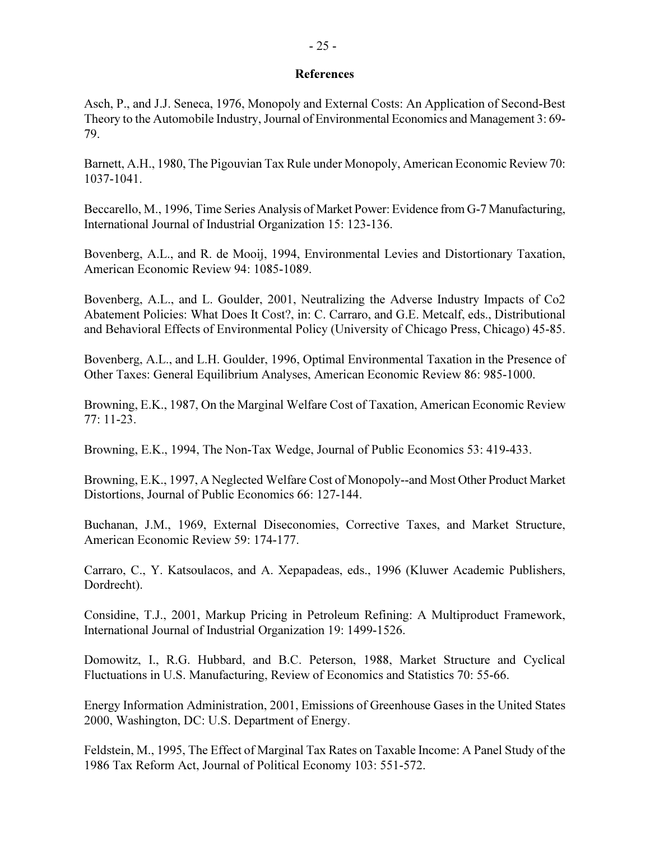## **References**

Asch, P., and J.J. Seneca, 1976, Monopoly and External Costs: An Application of Second-Best Theory to the Automobile Industry, Journal of Environmental Economics and Management 3: 69- 79.

Barnett, A.H., 1980, The Pigouvian Tax Rule under Monopoly, American Economic Review 70: 1037-1041.

Beccarello, M., 1996, Time Series Analysis of Market Power: Evidence from G-7 Manufacturing, International Journal of Industrial Organization 15: 123-136.

Bovenberg, A.L., and R. de Mooij, 1994, Environmental Levies and Distortionary Taxation, American Economic Review 94: 1085-1089.

Bovenberg, A.L., and L. Goulder, 2001, Neutralizing the Adverse Industry Impacts of Co2 Abatement Policies: What Does It Cost?, in: C. Carraro, and G.E. Metcalf, eds., Distributional and Behavioral Effects of Environmental Policy (University of Chicago Press, Chicago) 45-85.

Bovenberg, A.L., and L.H. Goulder, 1996, Optimal Environmental Taxation in the Presence of Other Taxes: General Equilibrium Analyses, American Economic Review 86: 985-1000.

Browning, E.K., 1987, On the Marginal Welfare Cost of Taxation, American Economic Review 77: 11-23.

Browning, E.K., 1994, The Non-Tax Wedge, Journal of Public Economics 53: 419-433.

Browning, E.K., 1997, A Neglected Welfare Cost of Monopoly--and Most Other Product Market Distortions, Journal of Public Economics 66: 127-144.

Buchanan, J.M., 1969, External Diseconomies, Corrective Taxes, and Market Structure, American Economic Review 59: 174-177.

Carraro, C., Y. Katsoulacos, and A. Xepapadeas, eds., 1996 (Kluwer Academic Publishers, Dordrecht).

Considine, T.J., 2001, Markup Pricing in Petroleum Refining: A Multiproduct Framework, International Journal of Industrial Organization 19: 1499-1526.

Domowitz, I., R.G. Hubbard, and B.C. Peterson, 1988, Market Structure and Cyclical Fluctuations in U.S. Manufacturing, Review of Economics and Statistics 70: 55-66.

Energy Information Administration, 2001, Emissions of Greenhouse Gases in the United States 2000, Washington, DC: U.S. Department of Energy.

Feldstein, M., 1995, The Effect of Marginal Tax Rates on Taxable Income: A Panel Study of the 1986 Tax Reform Act, Journal of Political Economy 103: 551-572.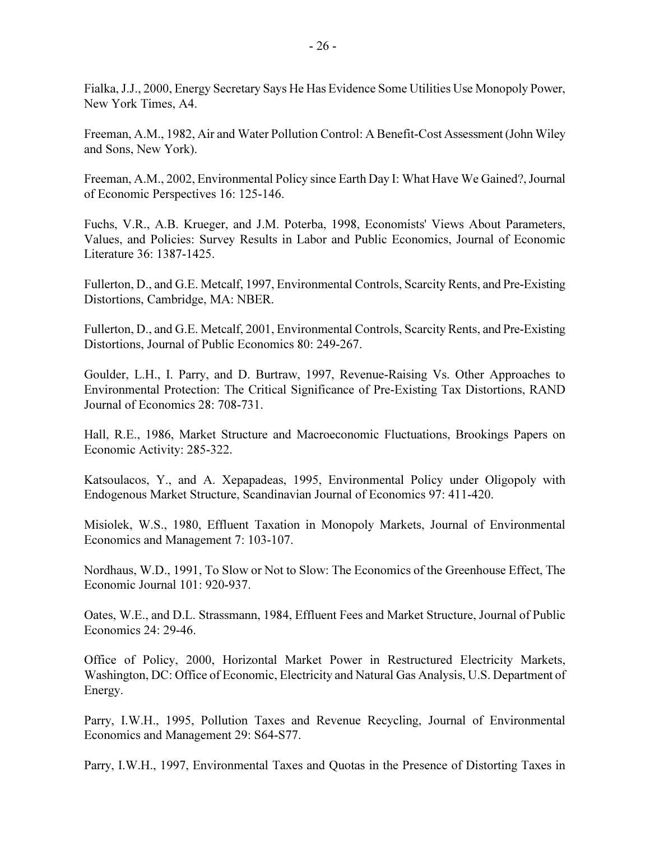Fialka, J.J., 2000, Energy Secretary Says He Has Evidence Some Utilities Use Monopoly Power, New York Times, A4.

Freeman, A.M., 1982, Air and Water Pollution Control: A Benefit-Cost Assessment (John Wiley and Sons, New York).

Freeman, A.M., 2002, Environmental Policy since Earth Day I: What Have We Gained?, Journal of Economic Perspectives 16: 125-146.

Fuchs, V.R., A.B. Krueger, and J.M. Poterba, 1998, Economists' Views About Parameters, Values, and Policies: Survey Results in Labor and Public Economics, Journal of Economic Literature 36: 1387-1425.

Fullerton, D., and G.E. Metcalf, 1997, Environmental Controls, Scarcity Rents, and Pre-Existing Distortions, Cambridge, MA: NBER.

Fullerton, D., and G.E. Metcalf, 2001, Environmental Controls, Scarcity Rents, and Pre-Existing Distortions, Journal of Public Economics 80: 249-267.

Goulder, L.H., I. Parry, and D. Burtraw, 1997, Revenue-Raising Vs. Other Approaches to Environmental Protection: The Critical Significance of Pre-Existing Tax Distortions, RAND Journal of Economics 28: 708-731.

Hall, R.E., 1986, Market Structure and Macroeconomic Fluctuations, Brookings Papers on Economic Activity: 285-322.

Katsoulacos, Y., and A. Xepapadeas, 1995, Environmental Policy under Oligopoly with Endogenous Market Structure, Scandinavian Journal of Economics 97: 411-420.

Misiolek, W.S., 1980, Effluent Taxation in Monopoly Markets, Journal of Environmental Economics and Management 7: 103-107.

Nordhaus, W.D., 1991, To Slow or Not to Slow: The Economics of the Greenhouse Effect, The Economic Journal 101: 920-937.

Oates, W.E., and D.L. Strassmann, 1984, Effluent Fees and Market Structure, Journal of Public Economics 24: 29-46.

Office of Policy, 2000, Horizontal Market Power in Restructured Electricity Markets, Washington, DC: Office of Economic, Electricity and Natural Gas Analysis, U.S. Department of Energy.

Parry, I.W.H., 1995, Pollution Taxes and Revenue Recycling, Journal of Environmental Economics and Management 29: S64-S77.

Parry, I.W.H., 1997, Environmental Taxes and Quotas in the Presence of Distorting Taxes in